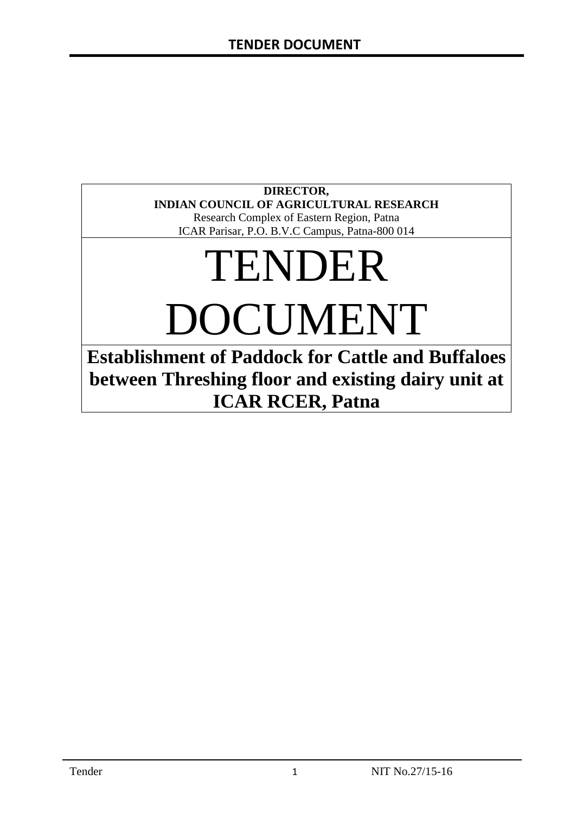#### **DIRECTOR, INDIAN COUNCIL OF AGRICULTURAL RESEARCH**

Research Complex of Eastern Region, Patna ICAR Parisar, P.O. B.V.C Campus, Patna-800 014

# TENDER

DOCUMENT

**Establishment of Paddock for Cattle and Buffaloes between Threshing floor and existing dairy unit at ICAR RCER, Patna**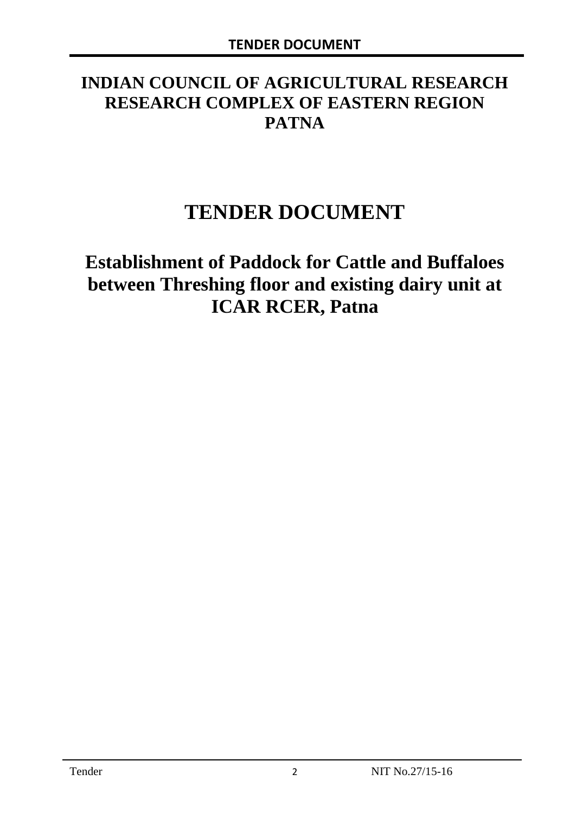# **INDIAN COUNCIL OF AGRICULTURAL RESEARCH RESEARCH COMPLEX OF EASTERN REGION PATNA**

# **TENDER DOCUMENT**

# **Establishment of Paddock for Cattle and Buffaloes between Threshing floor and existing dairy unit at ICAR RCER, Patna**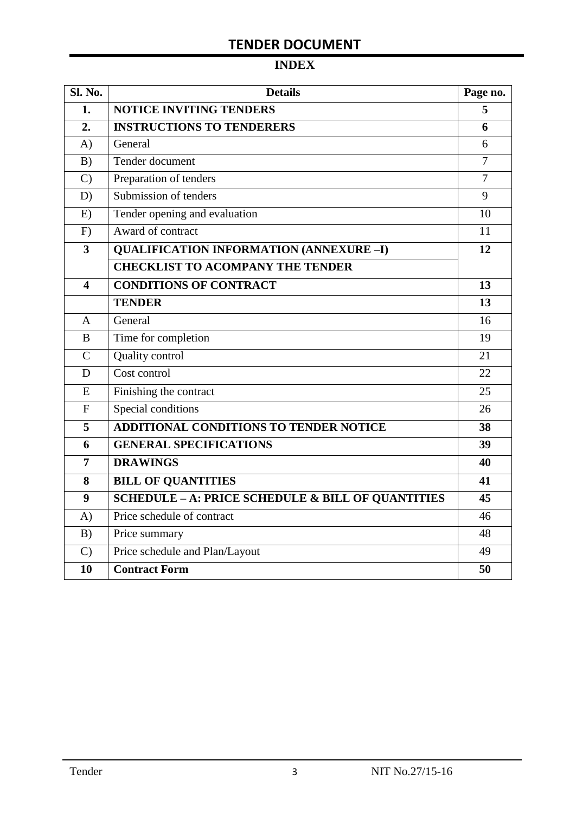# **INDEX**

| Sl. No.                 | <b>Details</b>                                    | Page no.       |
|-------------------------|---------------------------------------------------|----------------|
| 1.                      | <b>NOTICE INVITING TENDERS</b>                    | 5              |
| 2.                      | <b>INSTRUCTIONS TO TENDERERS</b>                  | 6              |
| A)                      | General                                           | 6              |
| B)                      | Tender document                                   | $\overline{7}$ |
| $\mathcal{C}$           | Preparation of tenders                            | $\overline{7}$ |
| D)                      | Submission of tenders                             | 9              |
| E)                      | Tender opening and evaluation                     | 10             |
| F)                      | Award of contract                                 | 11             |
| $\overline{\mathbf{3}}$ | <b>QUALIFICATION INFORMATION (ANNEXURE-I)</b>     | 12             |
|                         | <b>CHECKLIST TO ACOMPANY THE TENDER</b>           |                |
| 4                       | <b>CONDITIONS OF CONTRACT</b>                     | 13             |
|                         | <b>TENDER</b>                                     | 13             |
| $\overline{A}$          | General                                           | 16             |
| B                       | Time for completion                               | 19             |
| $\overline{C}$          | Quality control                                   | 21             |
| D                       | Cost control                                      | 22             |
| E                       | Finishing the contract                            | 25             |
| $\mathbf{F}$            | Special conditions                                | 26             |
| 5                       | <b>ADDITIONAL CONDITIONS TO TENDER NOTICE</b>     | 38             |
| 6                       | <b>GENERAL SPECIFICATIONS</b>                     | 39             |
| $\overline{7}$          | <b>DRAWINGS</b>                                   | 40             |
| 8                       | <b>BILL OF QUANTITIES</b>                         | 41             |
| 9                       | SCHEDULE - A: PRICE SCHEDULE & BILL OF QUANTITIES | 45             |
| A)                      | Price schedule of contract                        | 46             |
| B)                      | Price summary                                     | 48             |
| $\mathcal{C}$           | Price schedule and Plan/Layout                    | 49             |
| 10                      | <b>Contract Form</b>                              | 50             |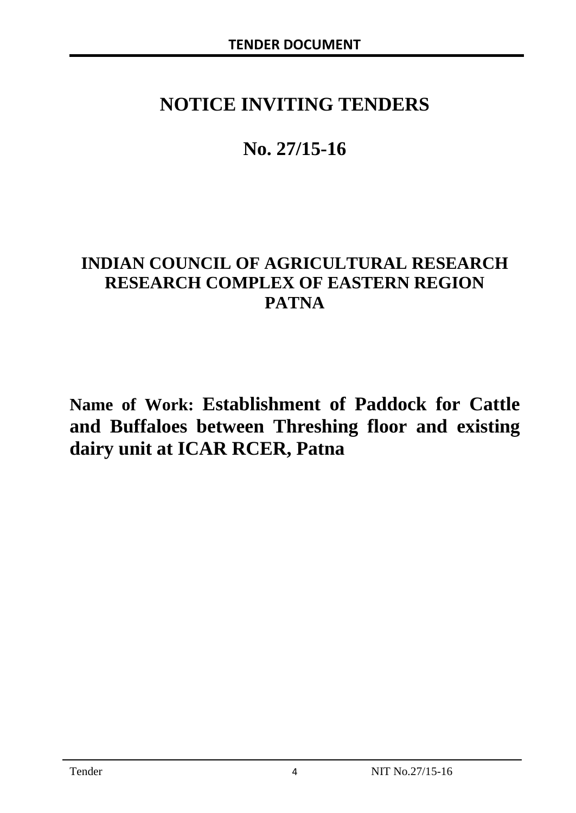# **NOTICE INVITING TENDERS**

# **No. 27/15-16**

# **INDIAN COUNCIL OF AGRICULTURAL RESEARCH RESEARCH COMPLEX OF EASTERN REGION PATNA**

**Name of Work: Establishment of Paddock for Cattle and Buffaloes between Threshing floor and existing dairy unit at ICAR RCER, Patna**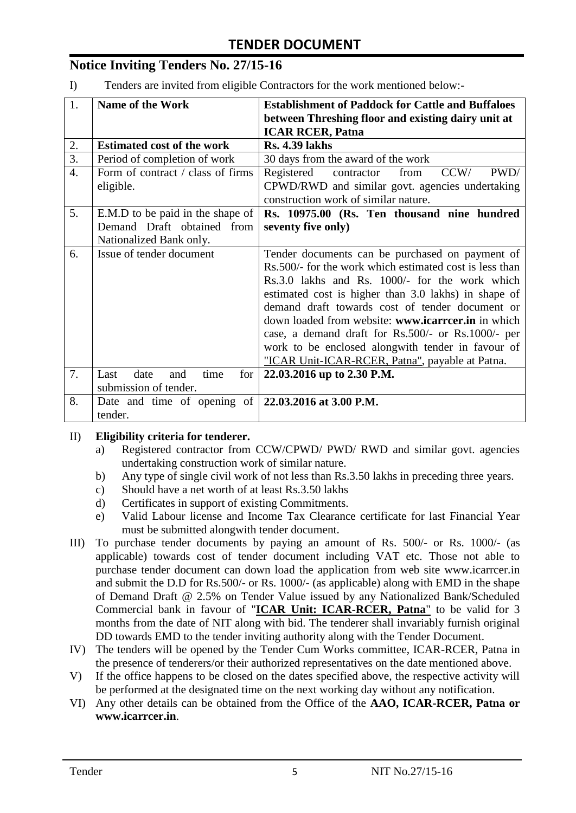# **Notice Inviting Tenders No. 27/15-16**

I) Tenders are invited from eligible Contractors for the work mentioned below:-

| 1.               | <b>Name of the Work</b>                                                     | <b>Establishment of Paddock for Cattle and Buffaloes</b> |  |  |  |  |
|------------------|-----------------------------------------------------------------------------|----------------------------------------------------------|--|--|--|--|
|                  |                                                                             | between Threshing floor and existing dairy unit at       |  |  |  |  |
|                  |                                                                             | <b>ICAR RCER, Patna</b>                                  |  |  |  |  |
| 2.               | <b>Estimated cost of the work</b>                                           | <b>Rs. 4.39 lakhs</b>                                    |  |  |  |  |
| 3.               | Period of completion of work                                                | 30 days from the award of the work                       |  |  |  |  |
| $\overline{4}$ . | Form of contract / class of firms                                           | CCW/<br>PWD/<br>Registered contractor<br>from            |  |  |  |  |
|                  | eligible.                                                                   | CPWD/RWD and similar govt. agencies undertaking          |  |  |  |  |
|                  |                                                                             | construction work of similar nature.                     |  |  |  |  |
| 5.               | E.M.D to be paid in the shape of                                            | Rs. 10975.00 (Rs. Ten thousand nine hundred              |  |  |  |  |
|                  | Demand Draft obtained from                                                  | seventy five only)                                       |  |  |  |  |
|                  | Nationalized Bank only.                                                     |                                                          |  |  |  |  |
| 6.               | Issue of tender document<br>Tender documents can be purchased on payment of |                                                          |  |  |  |  |
|                  |                                                                             | Rs.500/- for the work which estimated cost is less than  |  |  |  |  |
|                  |                                                                             | Rs.3.0 lakhs and Rs. 1000/- for the work which           |  |  |  |  |
|                  |                                                                             | estimated cost is higher than 3.0 lakhs) in shape of     |  |  |  |  |
|                  |                                                                             | demand draft towards cost of tender document or          |  |  |  |  |
|                  |                                                                             | down loaded from website: www.icarreer.in in which       |  |  |  |  |
|                  |                                                                             | case, a demand draft for Rs.500/- or Rs.1000/- per       |  |  |  |  |
|                  |                                                                             | work to be enclosed alongwith tender in favour of        |  |  |  |  |
|                  |                                                                             | "ICAR Unit-ICAR-RCER, Patna", payable at Patna.          |  |  |  |  |
| 7.               | Last<br>date<br>time<br>for <sub>1</sub><br>and                             | 22.03.2016 up to 2.30 P.M.                               |  |  |  |  |
|                  | submission of tender.                                                       |                                                          |  |  |  |  |
| 8.               | Date and time of opening of $\vert$ 22.03.2016 at 3.00 P.M.                 |                                                          |  |  |  |  |
|                  | tender.                                                                     |                                                          |  |  |  |  |

#### II) **Eligibility criteria for tenderer.**

- a) Registered contractor from CCW/CPWD/ PWD/ RWD and similar govt. agencies undertaking construction work of similar nature.
- b) Any type of single civil work of not less than Rs.3.50 lakhs in preceding three years.
- c) Should have a net worth of at least Rs.3.50 lakhs
- d) Certificates in support of existing Commitments.
- e) Valid Labour license and Income Tax Clearance certificate for last Financial Year must be submitted alongwith tender document.
- III) To purchase tender documents by paying an amount of Rs. 500/- or Rs. 1000/- (as applicable) towards cost of tender document including VAT etc. Those not able to purchase tender document can down load the application from web site www.icarrcer.in and submit the D.D for Rs.500/- or Rs. 1000/- (as applicable) along with EMD in the shape of Demand Draft @ 2.5% on Tender Value issued by any Nationalized Bank/Scheduled Commercial bank in favour of "**ICAR Unit: ICAR-RCER, Patna**" to be valid for 3 months from the date of NIT along with bid. The tenderer shall invariably furnish original DD towards EMD to the tender inviting authority along with the Tender Document.
- IV) The tenders will be opened by the Tender Cum Works committee, ICAR-RCER, Patna in the presence of tenderers/or their authorized representatives on the date mentioned above.
- V) If the office happens to be closed on the dates specified above, the respective activity will be performed at the designated time on the next working day without any notification.
- VI) Any other details can be obtained from the Office of the **AAO, ICAR-RCER, Patna or www.icarrcer.in**.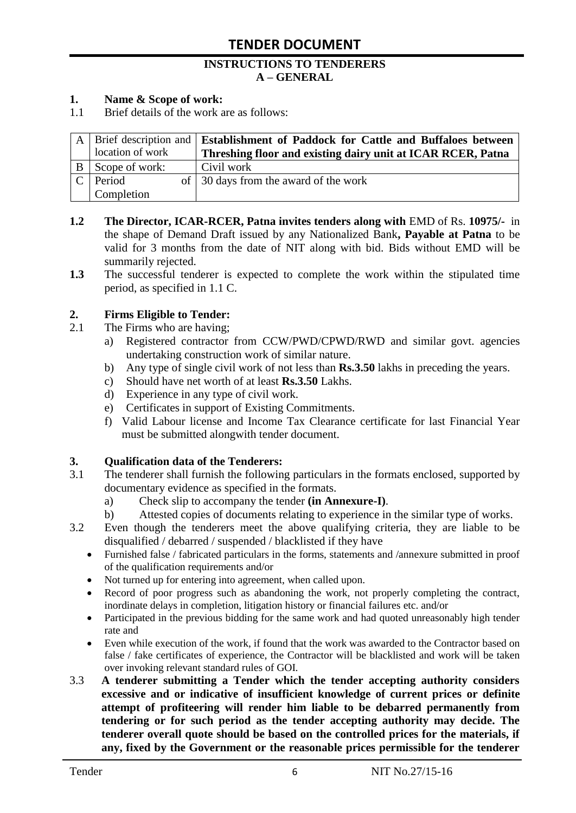#### **INSTRUCTIONS TO TENDERERS A – GENERAL**

#### **1. Name & Scope of work:**

1.1 Brief details of the work are as follows:

|              |                  | A   Brief description and   Establishment of Paddock for Cattle and Buffaloes between |
|--------------|------------------|---------------------------------------------------------------------------------------|
|              | location of work | Threshing floor and existing dairy unit at ICAR RCER, Patna                           |
| <sup>B</sup> | Scope of work:   | Civil work                                                                            |
|              | Period           | of 30 days from the award of the work                                                 |
|              | Completion       |                                                                                       |

- **1.2 The Director, ICAR-RCER, Patna invites tenders along with** EMD of Rs. **10975/-** in the shape of Demand Draft issued by any Nationalized Bank**, Payable at Patna** to be valid for 3 months from the date of NIT along with bid. Bids without EMD will be summarily rejected.
- **1.3** The successful tenderer is expected to complete the work within the stipulated time period, as specified in 1.1 C.

#### **2. Firms Eligible to Tender:**

- 2.1 The Firms who are having;
	- a) Registered contractor from CCW/PWD/CPWD/RWD and similar govt. agencies undertaking construction work of similar nature.
	- b) Any type of single civil work of not less than **Rs.3.50** lakhs in preceding the years.
	- c) Should have net worth of at least **Rs.3.50** Lakhs.
	- d) Experience in any type of civil work.
	- e) Certificates in support of Existing Commitments.
	- f) Valid Labour license and Income Tax Clearance certificate for last Financial Year must be submitted alongwith tender document.

#### **3. Qualification data of the Tenderers:**

- 3.1 The tenderer shall furnish the following particulars in the formats enclosed, supported by documentary evidence as specified in the formats.
	- a) Check slip to accompany the tender **(in Annexure-I)**.
	- b) Attested copies of documents relating to experience in the similar type of works.
- 3.2 Even though the tenderers meet the above qualifying criteria, they are liable to be disqualified / debarred / suspended / blacklisted if they have
	- Furnished false / fabricated particulars in the forms, statements and /annexure submitted in proof of the qualification requirements and/or
	- Not turned up for entering into agreement, when called upon.
	- Record of poor progress such as abandoning the work, not properly completing the contract, inordinate delays in completion, litigation history or financial failures etc. and/or
	- Participated in the previous bidding for the same work and had quoted unreasonably high tender rate and
	- Even while execution of the work, if found that the work was awarded to the Contractor based on false / fake certificates of experience, the Contractor will be blacklisted and work will be taken over invoking relevant standard rules of GOI.
- 3.3 **A tenderer submitting a Tender which the tender accepting authority considers excessive and or indicative of insufficient knowledge of current prices or definite attempt of profiteering will render him liable to be debarred permanently from tendering or for such period as the tender accepting authority may decide. The tenderer overall quote should be based on the controlled prices for the materials, if any, fixed by the Government or the reasonable prices permissible for the tenderer**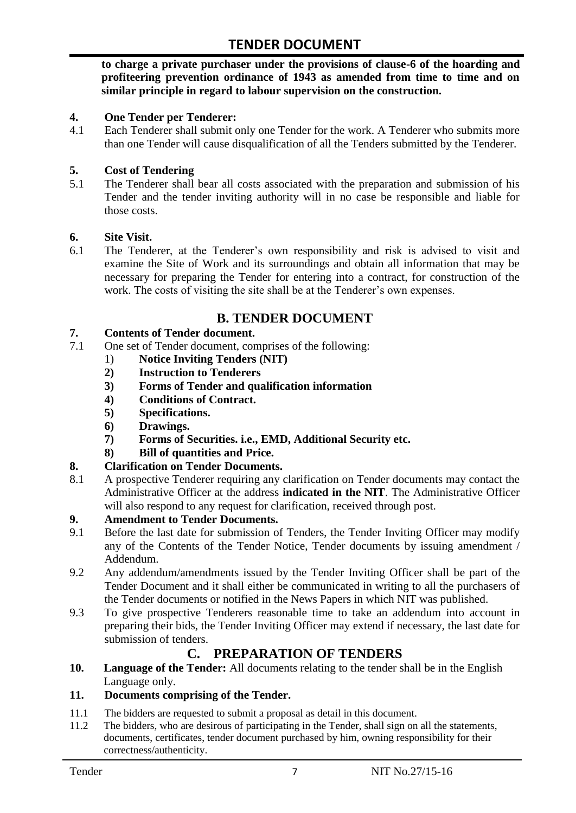**to charge a private purchaser under the provisions of clause-6 of the hoarding and profiteering prevention ordinance of 1943 as amended from time to time and on similar principle in regard to labour supervision on the construction.**

#### **4. One Tender per Tenderer:**

4.1 Each Tenderer shall submit only one Tender for the work. A Tenderer who submits more than one Tender will cause disqualification of all the Tenders submitted by the Tenderer.

#### **5. Cost of Tendering**

5.1 The Tenderer shall bear all costs associated with the preparation and submission of his Tender and the tender inviting authority will in no case be responsible and liable for those costs.

#### **6. Site Visit.**

6.1 The Tenderer, at the Tenderer"s own responsibility and risk is advised to visit and examine the Site of Work and its surroundings and obtain all information that may be necessary for preparing the Tender for entering into a contract, for construction of the work. The costs of visiting the site shall be at the Tenderer's own expenses.

## **B. TENDER DOCUMENT**

#### **7. Contents of Tender document.**

- 7.1 One set of Tender document, comprises of the following:
	- 1) **Notice Inviting Tenders (NIT)**
	- **2) Instruction to Tenderers**
	- **3) Forms of Tender and qualification information**
	- **4) Conditions of Contract.**
	- **5) Specifications.**
	- **6) Drawings.**
	- **7) Forms of Securities. i.e., EMD, Additional Security etc.**
	- **8) Bill of quantities and Price.**

#### **8. Clarification on Tender Documents.**

8.1 A prospective Tenderer requiring any clarification on Tender documents may contact the Administrative Officer at the address **indicated in the NIT**. The Administrative Officer will also respond to any request for clarification, received through post.

#### **9. Amendment to Tender Documents.**

- 9.1 Before the last date for submission of Tenders, the Tender Inviting Officer may modify any of the Contents of the Tender Notice, Tender documents by issuing amendment / Addendum.
- 9.2 Any addendum/amendments issued by the Tender Inviting Officer shall be part of the Tender Document and it shall either be communicated in writing to all the purchasers of the Tender documents or notified in the News Papers in which NIT was published.
- 9.3 To give prospective Tenderers reasonable time to take an addendum into account in preparing their bids, the Tender Inviting Officer may extend if necessary, the last date for submission of tenders.

## **C. PREPARATION OF TENDERS**

**10. Language of the Tender:** All documents relating to the tender shall be in the English Language only.

#### **11. Documents comprising of the Tender.**

- 11.1 The bidders are requested to submit a proposal as detail in this document.<br>11.2 The bidders, who are desirous of participating in the Tender, shall sign on
- The bidders, who are desirous of participating in the Tender, shall sign on all the statements, documents, certificates, tender document purchased by him, owning responsibility for their correctness/authenticity.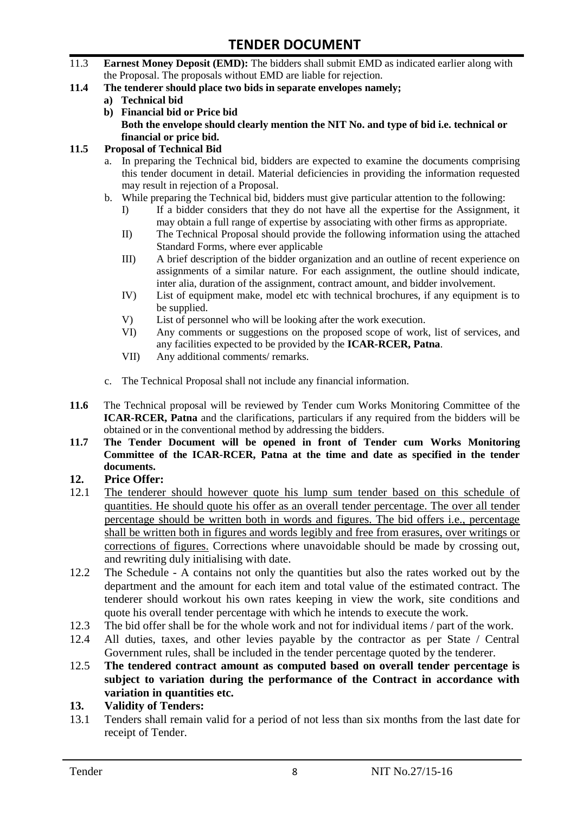- 11.3 **Earnest Money Deposit (EMD):** The bidders shall submit EMD as indicated earlier along with the Proposal. The proposals without EMD are liable for rejection.
- **11.4 The tenderer should place two bids in separate envelopes namely;**
	- **a) Technical bid**
	- **b) Financial bid or Price bid Both the envelope should clearly mention the NIT No. and type of bid i.e. technical or financial or price bid.**

#### **11.5 Proposal of Technical Bid**

- a. In preparing the Technical bid, bidders are expected to examine the documents comprising this tender document in detail. Material deficiencies in providing the information requested may result in rejection of a Proposal.
- b. While preparing the Technical bid, bidders must give particular attention to the following:
	- I) If a bidder considers that they do not have all the expertise for the Assignment, it may obtain a full range of expertise by associating with other firms as appropriate.
	- II) The Technical Proposal should provide the following information using the attached Standard Forms, where ever applicable
	- III) A brief description of the bidder organization and an outline of recent experience on assignments of a similar nature. For each assignment, the outline should indicate, inter alia, duration of the assignment, contract amount, and bidder involvement.
	- IV) List of equipment make, model etc with technical brochures, if any equipment is to be supplied.
	- V) List of personnel who will be looking after the work execution.
	- VI) Any comments or suggestions on the proposed scope of work, list of services, and any facilities expected to be provided by the **ICAR-RCER, Patna**.
	- VII) Any additional comments/ remarks.
- c. The Technical Proposal shall not include any financial information.
- **11.6** The Technical proposal will be reviewed by Tender cum Works Monitoring Committee of the **ICAR-RCER, Patna** and the clarifications, particulars if any required from the bidders will be obtained or in the conventional method by addressing the bidders.
- **11.7 The Tender Document will be opened in front of Tender cum Works Monitoring Committee of the ICAR-RCER, Patna at the time and date as specified in the tender documents.**

#### **12. Price Offer:**

- 12.1 The tenderer should however quote his lump sum tender based on this schedule of quantities. He should quote his offer as an overall tender percentage. The over all tender percentage should be written both in words and figures. The bid offers i.e., percentage shall be written both in figures and words legibly and free from erasures, over writings or corrections of figures. Corrections where unavoidable should be made by crossing out, and rewriting duly initialising with date.
- 12.2 The Schedule A contains not only the quantities but also the rates worked out by the department and the amount for each item and total value of the estimated contract. The tenderer should workout his own rates keeping in view the work, site conditions and quote his overall tender percentage with which he intends to execute the work.
- 12.3 The bid offer shall be for the whole work and not for individual items / part of the work.
- 12.4 All duties, taxes, and other levies payable by the contractor as per State / Central Government rules, shall be included in the tender percentage quoted by the tenderer.
- 12.5 **The tendered contract amount as computed based on overall tender percentage is subject to variation during the performance of the Contract in accordance with variation in quantities etc.**
- **13. Validity of Tenders:**
- 13.1 Tenders shall remain valid for a period of not less than six months from the last date for receipt of Tender.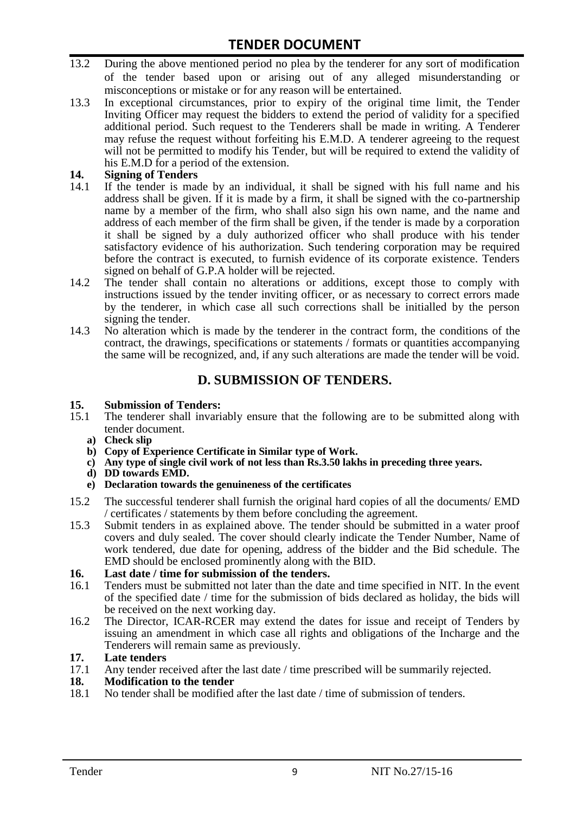- 13.2 During the above mentioned period no plea by the tenderer for any sort of modification of the tender based upon or arising out of any alleged misunderstanding or misconceptions or mistake or for any reason will be entertained.
- 13.3 In exceptional circumstances, prior to expiry of the original time limit, the Tender Inviting Officer may request the bidders to extend the period of validity for a specified additional period. Such request to the Tenderers shall be made in writing. A Tenderer may refuse the request without forfeiting his E.M.D. A tenderer agreeing to the request will not be permitted to modify his Tender, but will be required to extend the validity of his E.M.D for a period of the extension.

# 14. **Signing of Tenders**<br>14.1 If the tender is mag

- If the tender is made by an individual, it shall be signed with his full name and his address shall be given. If it is made by a firm, it shall be signed with the co-partnership name by a member of the firm, who shall also sign his own name, and the name and address of each member of the firm shall be given, if the tender is made by a corporation it shall be signed by a duly authorized officer who shall produce with his tender satisfactory evidence of his authorization. Such tendering corporation may be required before the contract is executed, to furnish evidence of its corporate existence. Tenders signed on behalf of G.P.A holder will be rejected.
- 14.2 The tender shall contain no alterations or additions, except those to comply with instructions issued by the tender inviting officer, or as necessary to correct errors made by the tenderer, in which case all such corrections shall be initialled by the person signing the tender.
- 14.3 No alteration which is made by the tenderer in the contract form, the conditions of the contract, the drawings, specifications or statements / formats or quantities accompanying the same will be recognized, and, if any such alterations are made the tender will be void.

# **D. SUBMISSION OF TENDERS.**

#### **15. Submission of Tenders:**

- 15.1 The tenderer shall invariably ensure that the following are to be submitted along with tender document.
	- **a) Check slip**
	- **b) Copy of Experience Certificate in Similar type of Work.**
	- **c) Any type of single civil work of not less than Rs.3.50 lakhs in preceding three years.**
	- **d) DD towards EMD.**
	- **e) Declaration towards the genuineness of the certificates**
- 15.2 The successful tenderer shall furnish the original hard copies of all the documents/ EMD / certificates / statements by them before concluding the agreement.
- 15.3 Submit tenders in as explained above. The tender should be submitted in a water proof covers and duly sealed. The cover should clearly indicate the Tender Number, Name of work tendered, due date for opening, address of the bidder and the Bid schedule. The EMD should be enclosed prominently along with the BID.

# **16. Last date / time for submission of the tenders.**

- 16.1 Tenders must be submitted not later than the date and time specified in NIT. In the event of the specified date / time for the submission of bids declared as holiday, the bids will be received on the next working day.
- 16.2 The Director, ICAR-RCER may extend the dates for issue and receipt of Tenders by issuing an amendment in which case all rights and obligations of the Incharge and the Tenderers will remain same as previously.

#### **17. Late tenders**

17.1 Any tender received after the last date / time prescribed will be summarily rejected.<br>18. Modification to the tender

# **18. Modification to the tender**<br>18.1 No tender shall be modified

No tender shall be modified after the last date / time of submission of tenders.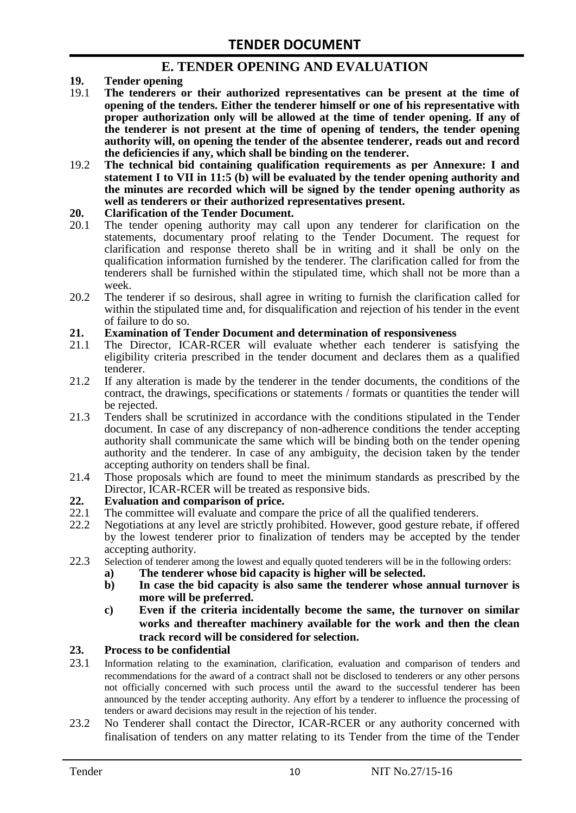## **E. TENDER OPENING AND EVALUATION**

- **19. Tender opening**
- 19.1 **The tenderers or their authorized representatives can be present at the time of opening of the tenders. Either the tenderer himself or one of his representative with proper authorization only will be allowed at the time of tender opening. If any of the tenderer is not present at the time of opening of tenders, the tender opening authority will, on opening the tender of the absentee tenderer, reads out and record the deficiencies if any, which shall be binding on the tenderer.**
- 19.2 **The technical bid containing qualification requirements as per Annexure: I and statement I to VII in 11:5 (b) will be evaluated by the tender opening authority and the minutes are recorded which will be signed by the tender opening authority as well as tenderers or their authorized representatives present.**

#### **20. Clarification of the Tender Document.**

- 20.1 The tender opening authority may call upon any tenderer for clarification on the statements, documentary proof relating to the Tender Document. The request for clarification and response thereto shall be in writing and it shall be only on the qualification information furnished by the tenderer. The clarification called for from the tenderers shall be furnished within the stipulated time, which shall not be more than a week.
- 20.2 The tenderer if so desirous, shall agree in writing to furnish the clarification called for within the stipulated time and, for disqualification and rejection of his tender in the event of failure to do so.

# **21. Examination of Tender Document and determination of responsiveness**

- 21.1 The Director, ICAR-RCER will evaluate whether each tenderer is satisfying the eligibility criteria prescribed in the tender document and declares them as a qualified tenderer.
- 21.2 If any alteration is made by the tenderer in the tender documents, the conditions of the contract, the drawings, specifications or statements / formats or quantities the tender will be rejected.
- 21.3 Tenders shall be scrutinized in accordance with the conditions stipulated in the Tender document. In case of any discrepancy of non-adherence conditions the tender accepting authority shall communicate the same which will be binding both on the tender opening authority and the tenderer. In case of any ambiguity, the decision taken by the tender accepting authority on tenders shall be final.
- 21.4 Those proposals which are found to meet the minimum standards as prescribed by the Director, ICAR-RCER will be treated as responsive bids.

# **22. Evaluation and comparison of price.**

- The committee will evaluate and compare the price of all the qualified tenderers.
- 22.2 Negotiations at any level are strictly prohibited. However, good gesture rebate, if offered by the lowest tenderer prior to finalization of tenders may be accepted by the tender accepting authority.
- 22.3 Selection of tenderer among the lowest and equally quoted tenderers will be in the following orders:
	- **a) The tenderer whose bid capacity is higher will be selected.**
	- **b) In case the bid capacity is also same the tenderer whose annual turnover is more will be preferred.**
	- **c) Even if the criteria incidentally become the same, the turnover on similar works and thereafter machinery available for the work and then the clean track record will be considered for selection.**

#### **23. Process to be confidential**

- 23.1 Information relating to the examination, clarification, evaluation and comparison of tenders and recommendations for the award of a contract shall not be disclosed to tenderers or any other persons not officially concerned with such process until the award to the successful tenderer has been announced by the tender accepting authority. Any effort by a tenderer to influence the processing of tenders or award decisions may result in the rejection of his tender.
- 23.2 No Tenderer shall contact the Director, ICAR-RCER or any authority concerned with finalisation of tenders on any matter relating to its Tender from the time of the Tender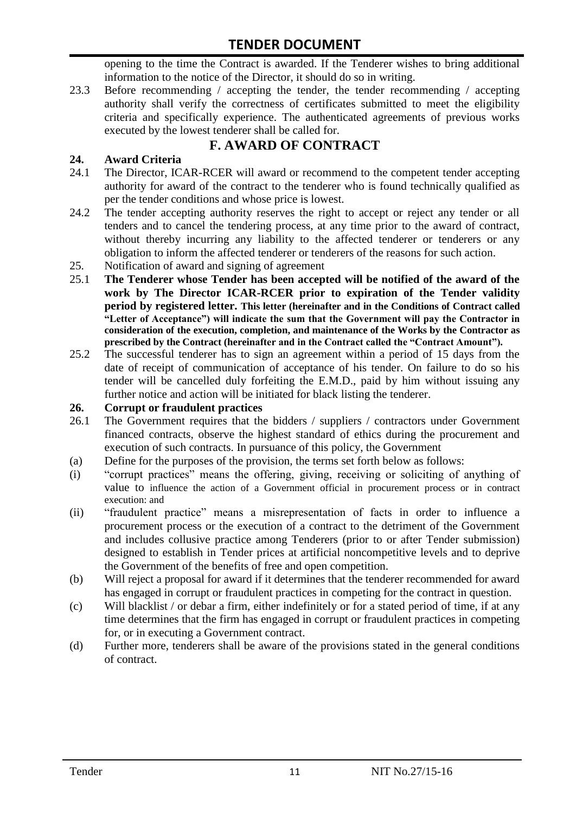opening to the time the Contract is awarded. If the Tenderer wishes to bring additional information to the notice of the Director, it should do so in writing.

23.3 Before recommending / accepting the tender, the tender recommending / accepting authority shall verify the correctness of certificates submitted to meet the eligibility criteria and specifically experience. The authenticated agreements of previous works executed by the lowest tenderer shall be called for.

# **F. AWARD OF CONTRACT**

#### **24. Award Criteria**

- 24.1 The Director, ICAR-RCER will award or recommend to the competent tender accepting authority for award of the contract to the tenderer who is found technically qualified as per the tender conditions and whose price is lowest.
- 24.2 The tender accepting authority reserves the right to accept or reject any tender or all tenders and to cancel the tendering process, at any time prior to the award of contract, without thereby incurring any liability to the affected tenderer or tenderers or any obligation to inform the affected tenderer or tenderers of the reasons for such action.
- 25. Notification of award and signing of agreement
- 25.1 **The Tenderer whose Tender has been accepted will be notified of the award of the work by The Director ICAR-RCER prior to expiration of the Tender validity period by registered letter. This letter (hereinafter and in the Conditions of Contract called "Letter of Acceptance") will indicate the sum that the Government will pay the Contractor in consideration of the execution, completion, and maintenance of the Works by the Contractor as prescribed by the Contract (hereinafter and in the Contract called the "Contract Amount").**
- 25.2 The successful tenderer has to sign an agreement within a period of 15 days from the date of receipt of communication of acceptance of his tender. On failure to do so his tender will be cancelled duly forfeiting the E.M.D., paid by him without issuing any further notice and action will be initiated for black listing the tenderer.

#### **26. Corrupt or fraudulent practices**

- 26.1 The Government requires that the bidders / suppliers / contractors under Government financed contracts, observe the highest standard of ethics during the procurement and execution of such contracts. In pursuance of this policy, the Government
- (a) Define for the purposes of the provision, the terms set forth below as follows:
- (i) "corrupt practices" means the offering, giving, receiving or soliciting of anything of value to influence the action of a Government official in procurement process or in contract execution: and
- (ii) "fraudulent practice" means a misrepresentation of facts in order to influence a procurement process or the execution of a contract to the detriment of the Government and includes collusive practice among Tenderers (prior to or after Tender submission) designed to establish in Tender prices at artificial noncompetitive levels and to deprive the Government of the benefits of free and open competition.
- (b) Will reject a proposal for award if it determines that the tenderer recommended for award has engaged in corrupt or fraudulent practices in competing for the contract in question.
- (c) Will blacklist / or debar a firm, either indefinitely or for a stated period of time, if at any time determines that the firm has engaged in corrupt or fraudulent practices in competing for, or in executing a Government contract.
- (d) Further more, tenderers shall be aware of the provisions stated in the general conditions of contract.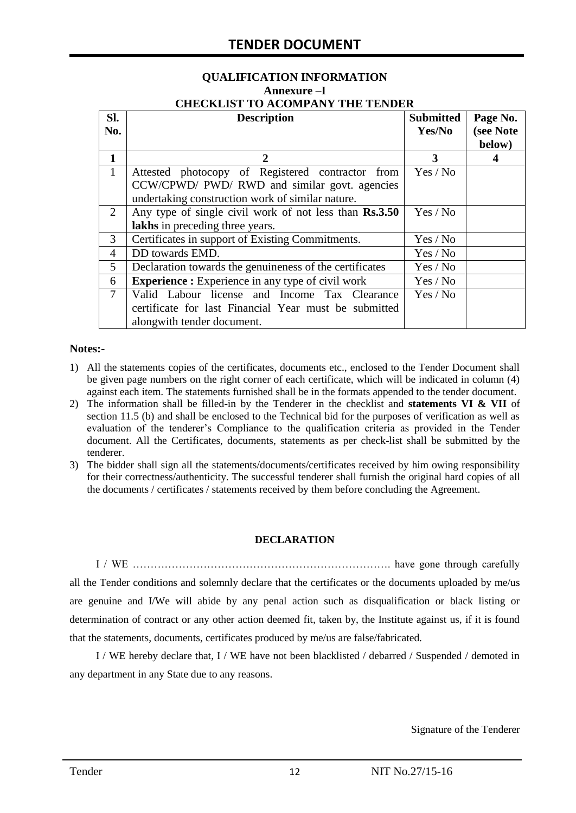# **QUALIFICATION INFORMATION Annexure –I**

| <b>CHECKLIST TO ACOMPANY THE TENDER</b> |  |
|-----------------------------------------|--|
|                                         |  |

| SI.            | <b>Description</b>                                       | <b>Submitted</b> | Page No.  |
|----------------|----------------------------------------------------------|------------------|-----------|
| No.            |                                                          | Yes/No           | (see Note |
|                |                                                          |                  | below)    |
| 1              | 2                                                        | 3                | 4         |
| $\mathbf{1}$   | Attested photocopy of Registered contractor from         | Yes / No         |           |
|                | CCW/CPWD/ PWD/ RWD and similar govt. agencies            |                  |           |
|                | undertaking construction work of similar nature.         |                  |           |
| 2              | Any type of single civil work of not less than Rs.3.50   | Yes / No         |           |
|                | lakhs in preceding three years.                          |                  |           |
| 3              | Certificates in support of Existing Commitments.         | Yes / No         |           |
| $\overline{4}$ | DD towards EMD.                                          | Yes / No         |           |
| 5              | Declaration towards the genuineness of the certificates  | Yes / No         |           |
| 6              | <b>Experience :</b> Experience in any type of civil work | Yes / No         |           |
| $\overline{7}$ | Valid Labour license and Income Tax Clearance            | Yes / No         |           |
|                | certificate for last Financial Year must be submitted    |                  |           |
|                | alongwith tender document.                               |                  |           |

#### **Notes:-**

- 1) All the statements copies of the certificates, documents etc., enclosed to the Tender Document shall be given page numbers on the right corner of each certificate, which will be indicated in column (4) against each item. The statements furnished shall be in the formats appended to the tender document.
- 2) The information shall be filled-in by the Tenderer in the checklist and **statements VI & VII** of section 11.5 (b) and shall be enclosed to the Technical bid for the purposes of verification as well as evaluation of the tenderer"s Compliance to the qualification criteria as provided in the Tender document. All the Certificates, documents, statements as per check-list shall be submitted by the tenderer.
- 3) The bidder shall sign all the statements/documents/certificates received by him owing responsibility for their correctness/authenticity. The successful tenderer shall furnish the original hard copies of all the documents / certificates / statements received by them before concluding the Agreement.

#### **DECLARATION**

I / WE ………………………………………………………………. have gone through carefully all the Tender conditions and solemnly declare that the certificates or the documents uploaded by me/us are genuine and I/We will abide by any penal action such as disqualification or black listing or determination of contract or any other action deemed fit, taken by, the Institute against us, if it is found that the statements, documents, certificates produced by me/us are false/fabricated.

I / WE hereby declare that, I / WE have not been blacklisted / debarred / Suspended / demoted in any department in any State due to any reasons.

Signature of the Tenderer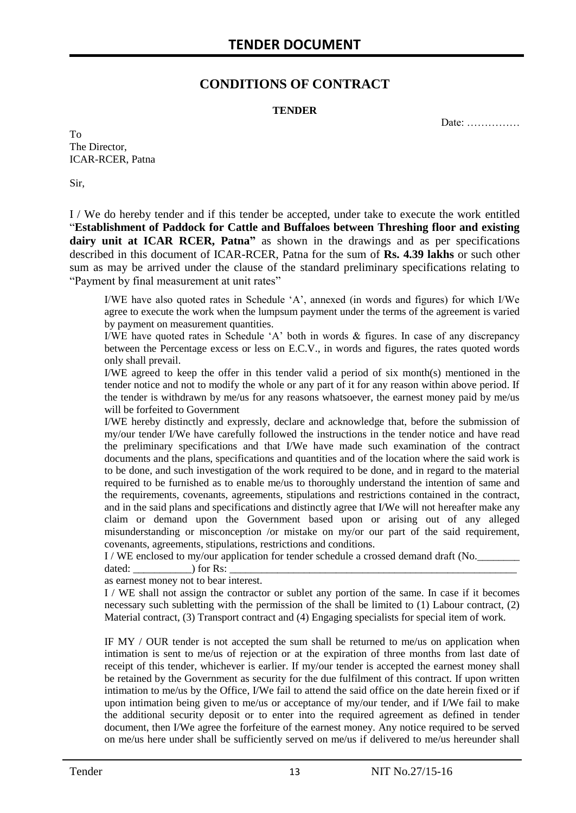## **CONDITIONS OF CONTRACT**

#### **TENDER**

Date: ……………

To The Director, ICAR-RCER, Patna

Sir,

I / We do hereby tender and if this tender be accepted, under take to execute the work entitled "**Establishment of Paddock for Cattle and Buffaloes between Threshing floor and existing dairy unit at ICAR RCER, Patna"** as shown in the drawings and as per specifications described in this document of ICAR-RCER, Patna for the sum of **Rs. 4.39 lakhs** or such other sum as may be arrived under the clause of the standard preliminary specifications relating to "Payment by final measurement at unit rates"

I/WE have also quoted rates in Schedule "A", annexed (in words and figures) for which I/We agree to execute the work when the lumpsum payment under the terms of the agreement is varied by payment on measurement quantities.

I/WE have quoted rates in Schedule "A" both in words & figures. In case of any discrepancy between the Percentage excess or less on E.C.V., in words and figures, the rates quoted words only shall prevail.

I/WE agreed to keep the offer in this tender valid a period of six month(s) mentioned in the tender notice and not to modify the whole or any part of it for any reason within above period. If the tender is withdrawn by me/us for any reasons whatsoever, the earnest money paid by me/us will be forfeited to Government

I/WE hereby distinctly and expressly, declare and acknowledge that, before the submission of my/our tender I/We have carefully followed the instructions in the tender notice and have read the preliminary specifications and that I/We have made such examination of the contract documents and the plans, specifications and quantities and of the location where the said work is to be done, and such investigation of the work required to be done, and in regard to the material required to be furnished as to enable me/us to thoroughly understand the intention of same and the requirements, covenants, agreements, stipulations and restrictions contained in the contract, and in the said plans and specifications and distinctly agree that I/We will not hereafter make any claim or demand upon the Government based upon or arising out of any alleged misunderstanding or misconception /or mistake on my/or our part of the said requirement, covenants, agreements, stipulations, restrictions and conditions.

I / WE enclosed to my/our application for tender schedule a crossed demand draft (No.

dated:  $\qquad \qquad$  ) for Rs:

as earnest money not to bear interest.

I / WE shall not assign the contractor or sublet any portion of the same. In case if it becomes necessary such subletting with the permission of the shall be limited to (1) Labour contract, (2) Material contract, (3) Transport contract and (4) Engaging specialists for special item of work.

IF MY / OUR tender is not accepted the sum shall be returned to me/us on application when intimation is sent to me/us of rejection or at the expiration of three months from last date of receipt of this tender, whichever is earlier. If my/our tender is accepted the earnest money shall be retained by the Government as security for the due fulfilment of this contract. If upon written intimation to me/us by the Office, I/We fail to attend the said office on the date herein fixed or if upon intimation being given to me/us or acceptance of my/our tender, and if I/We fail to make the additional security deposit or to enter into the required agreement as defined in tender document, then I/We agree the forfeiture of the earnest money. Any notice required to be served on me/us here under shall be sufficiently served on me/us if delivered to me/us hereunder shall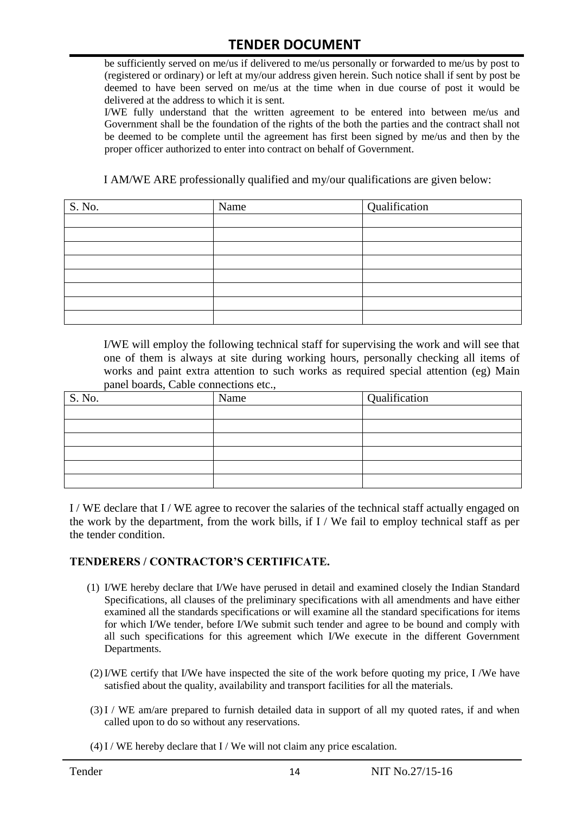be sufficiently served on me/us if delivered to me/us personally or forwarded to me/us by post to (registered or ordinary) or left at my/our address given herein. Such notice shall if sent by post be deemed to have been served on me/us at the time when in due course of post it would be delivered at the address to which it is sent.

I/WE fully understand that the written agreement to be entered into between me/us and Government shall be the foundation of the rights of the both the parties and the contract shall not be deemed to be complete until the agreement has first been signed by me/us and then by the proper officer authorized to enter into contract on behalf of Government.

I AM/WE ARE professionally qualified and my/our qualifications are given below:

| S. No. | Name | Qualification |
|--------|------|---------------|
|        |      |               |
|        |      |               |
|        |      |               |
|        |      |               |
|        |      |               |
|        |      |               |
|        |      |               |
|        |      |               |

I/WE will employ the following technical staff for supervising the work and will see that one of them is always at site during working hours, personally checking all items of works and paint extra attention to such works as required special attention (eg) Main panel boards, Cable connections etc.,

| S. No. | Name | Qualification |
|--------|------|---------------|
|        |      |               |
|        |      |               |
|        |      |               |
|        |      |               |
|        |      |               |
|        |      |               |

I / WE declare that I / WE agree to recover the salaries of the technical staff actually engaged on the work by the department, from the work bills, if I / We fail to employ technical staff as per the tender condition.

#### **TENDERERS / CONTRACTOR'S CERTIFICATE.**

- (1) I/WE hereby declare that I/We have perused in detail and examined closely the Indian Standard Specifications, all clauses of the preliminary specifications with all amendments and have either examined all the standards specifications or will examine all the standard specifications for items for which I/We tender, before I/We submit such tender and agree to be bound and comply with all such specifications for this agreement which I/We execute in the different Government Departments.
- (2)I/WE certify that I/We have inspected the site of the work before quoting my price, I /We have satisfied about the quality, availability and transport facilities for all the materials.
- (3)I / WE am/are prepared to furnish detailed data in support of all my quoted rates, if and when called upon to do so without any reservations.
- $(4)$  I / WE hereby declare that I / We will not claim any price escalation.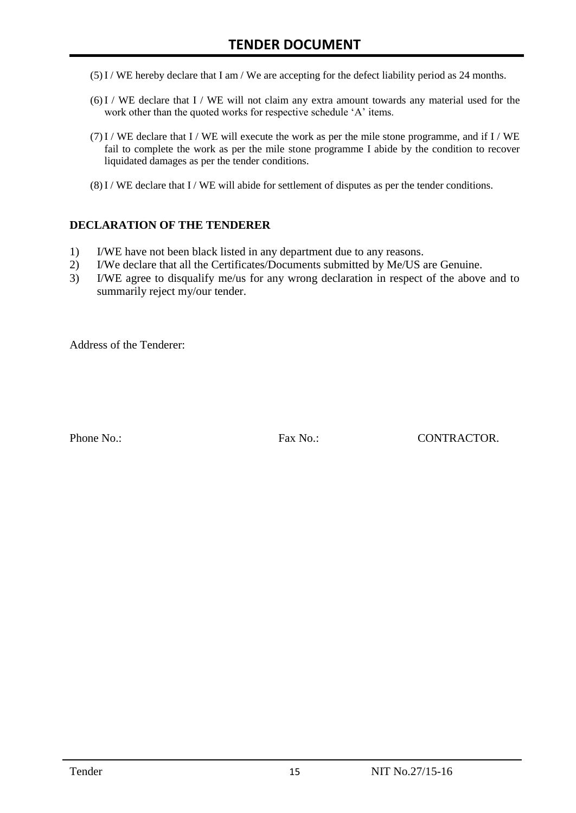- (5)I / WE hereby declare that I am / We are accepting for the defect liability period as 24 months.
- (6)I / WE declare that I / WE will not claim any extra amount towards any material used for the work other than the quoted works for respective schedule 'A' items.
- $(7)$ I / WE declare that I / WE will execute the work as per the mile stone programme, and if I / WE fail to complete the work as per the mile stone programme I abide by the condition to recover liquidated damages as per the tender conditions.
- $(8)$ I / WE declare that I / WE will abide for settlement of disputes as per the tender conditions.

#### **DECLARATION OF THE TENDERER**

- 1) I/WE have not been black listed in any department due to any reasons.
- 2) I/We declare that all the Certificates/Documents submitted by Me/US are Genuine.
- 3) I/WE agree to disqualify me/us for any wrong declaration in respect of the above and to summarily reject my/our tender.

Address of the Tenderer:

Phone No.: Fax No.: CONTRACTOR.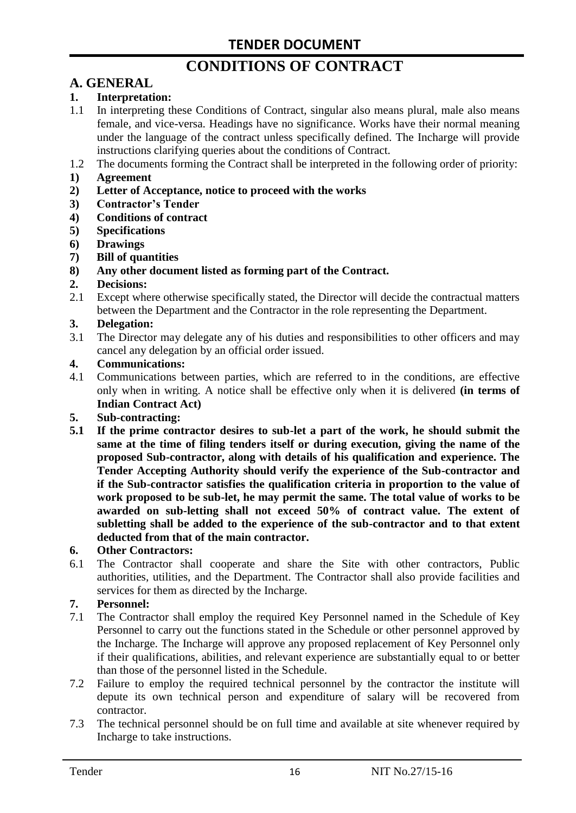# **CONDITIONS OF CONTRACT**

# **A. GENERAL**

#### **1. Interpretation:**

- 1.1 In interpreting these Conditions of Contract, singular also means plural, male also means female, and vice-versa. Headings have no significance. Works have their normal meaning under the language of the contract unless specifically defined. The Incharge will provide instructions clarifying queries about the conditions of Contract.
- 1.2 The documents forming the Contract shall be interpreted in the following order of priority:
- **1) Agreement**
- **2) Letter of Acceptance, notice to proceed with the works**
- **3) Contractor's Tender**
- **4) Conditions of contract**
- **5) Specifications**
- **6) Drawings**
- **7) Bill of quantities**
- **8) Any other document listed as forming part of the Contract.**

#### **2. Decisions:**

2.1 Except where otherwise specifically stated, the Director will decide the contractual matters between the Department and the Contractor in the role representing the Department.

#### **3. Delegation:**

3.1 The Director may delegate any of his duties and responsibilities to other officers and may cancel any delegation by an official order issued.

#### **4. Communications:**

4.1 Communications between parties, which are referred to in the conditions, are effective only when in writing. A notice shall be effective only when it is delivered **(in terms of Indian Contract Act)**

#### **5. Sub-contracting:**

**5.1 If the prime contractor desires to sub-let a part of the work, he should submit the same at the time of filing tenders itself or during execution, giving the name of the proposed Sub-contractor, along with details of his qualification and experience. The Tender Accepting Authority should verify the experience of the Sub-contractor and if the Sub-contractor satisfies the qualification criteria in proportion to the value of work proposed to be sub-let, he may permit the same. The total value of works to be awarded on sub-letting shall not exceed 50% of contract value. The extent of subletting shall be added to the experience of the sub-contractor and to that extent deducted from that of the main contractor.**

#### **6. Other Contractors:**

6.1 The Contractor shall cooperate and share the Site with other contractors, Public authorities, utilities, and the Department. The Contractor shall also provide facilities and services for them as directed by the Incharge.

#### **7. Personnel:**

- 7.1 The Contractor shall employ the required Key Personnel named in the Schedule of Key Personnel to carry out the functions stated in the Schedule or other personnel approved by the Incharge. The Incharge will approve any proposed replacement of Key Personnel only if their qualifications, abilities, and relevant experience are substantially equal to or better than those of the personnel listed in the Schedule.
- 7.2 Failure to employ the required technical personnel by the contractor the institute will depute its own technical person and expenditure of salary will be recovered from contractor.
- 7.3 The technical personnel should be on full time and available at site whenever required by Incharge to take instructions.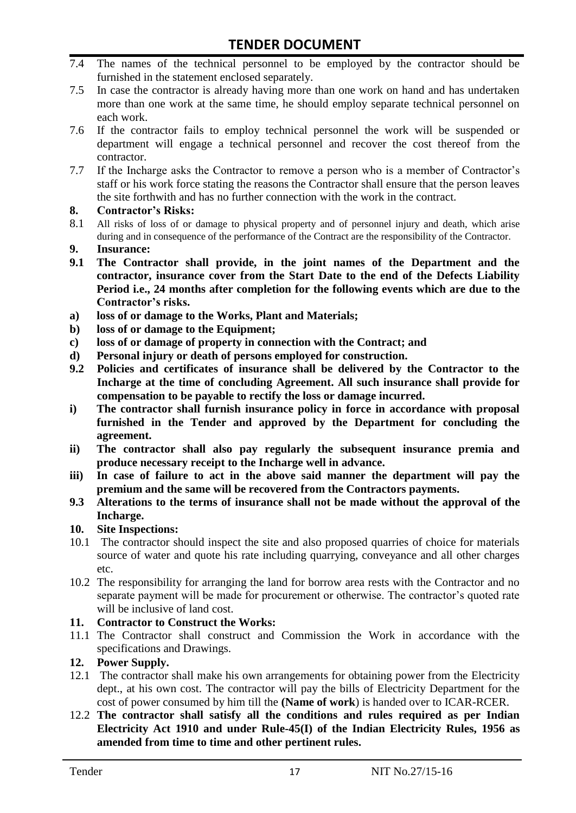- 7.4 The names of the technical personnel to be employed by the contractor should be furnished in the statement enclosed separately.
- 7.5 In case the contractor is already having more than one work on hand and has undertaken more than one work at the same time, he should employ separate technical personnel on each work.
- 7.6 If the contractor fails to employ technical personnel the work will be suspended or department will engage a technical personnel and recover the cost thereof from the contractor.
- 7.7 If the Incharge asks the Contractor to remove a person who is a member of Contractor"s staff or his work force stating the reasons the Contractor shall ensure that the person leaves the site forthwith and has no further connection with the work in the contract.

#### **8. Contractor's Risks:**

- 8.1 All risks of loss of or damage to physical property and of personnel injury and death, which arise during and in consequence of the performance of the Contract are the responsibility of the Contractor.
- **9. Insurance:**
- **9.1 The Contractor shall provide, in the joint names of the Department and the contractor, insurance cover from the Start Date to the end of the Defects Liability Period i.e., 24 months after completion for the following events which are due to the Contractor's risks.**
- **a) loss of or damage to the Works, Plant and Materials;**
- **b) loss of or damage to the Equipment;**
- **c) loss of or damage of property in connection with the Contract; and**
- **d) Personal injury or death of persons employed for construction.**
- **9.2 Policies and certificates of insurance shall be delivered by the Contractor to the Incharge at the time of concluding Agreement. All such insurance shall provide for compensation to be payable to rectify the loss or damage incurred.**
- **i) The contractor shall furnish insurance policy in force in accordance with proposal furnished in the Tender and approved by the Department for concluding the agreement.**
- **ii) The contractor shall also pay regularly the subsequent insurance premia and produce necessary receipt to the Incharge well in advance.**
- **iii) In case of failure to act in the above said manner the department will pay the premium and the same will be recovered from the Contractors payments.**
- **9.3 Alterations to the terms of insurance shall not be made without the approval of the Incharge.**

#### **10. Site Inspections:**

- 10.1 The contractor should inspect the site and also proposed quarries of choice for materials source of water and quote his rate including quarrying, conveyance and all other charges etc.
- 10.2 The responsibility for arranging the land for borrow area rests with the Contractor and no separate payment will be made for procurement or otherwise. The contractor's quoted rate will be inclusive of land cost.

#### **11. Contractor to Construct the Works:**

11.1 The Contractor shall construct and Commission the Work in accordance with the specifications and Drawings.

#### **12. Power Supply.**

- 12.1 The contractor shall make his own arrangements for obtaining power from the Electricity dept., at his own cost. The contractor will pay the bills of Electricity Department for the cost of power consumed by him till the **(Name of work**) is handed over to ICAR-RCER.
- 12.2 **The contractor shall satisfy all the conditions and rules required as per Indian Electricity Act 1910 and under Rule-45(I) of the Indian Electricity Rules, 1956 as amended from time to time and other pertinent rules.**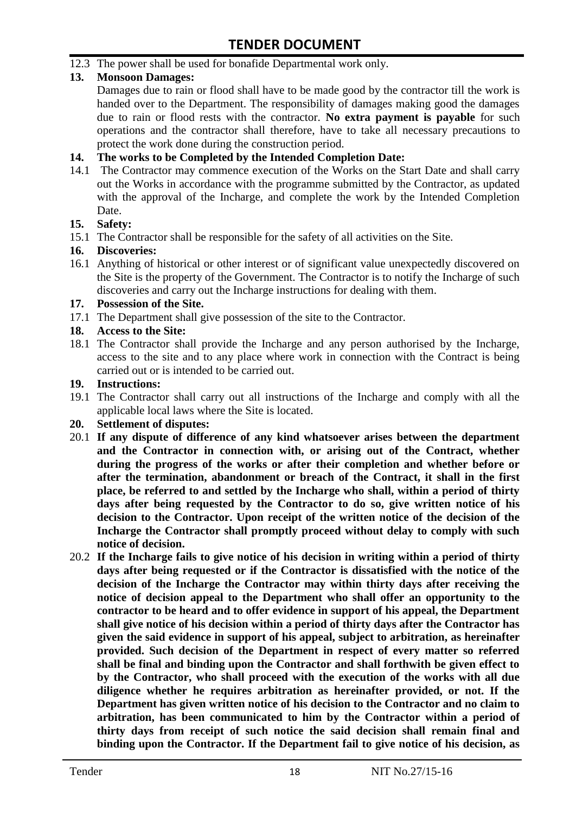12.3 The power shall be used for bonafide Departmental work only.

#### **13. Monsoon Damages:**

Damages due to rain or flood shall have to be made good by the contractor till the work is handed over to the Department. The responsibility of damages making good the damages due to rain or flood rests with the contractor. **No extra payment is payable** for such operations and the contractor shall therefore, have to take all necessary precautions to protect the work done during the construction period.

#### **14. The works to be Completed by the Intended Completion Date:**

14.1 The Contractor may commence execution of the Works on the Start Date and shall carry out the Works in accordance with the programme submitted by the Contractor, as updated with the approval of the Incharge, and complete the work by the Intended Completion Date.

#### **15. Safety:**

15.1 The Contractor shall be responsible for the safety of all activities on the Site.

#### **16. Discoveries:**

16.1 Anything of historical or other interest or of significant value unexpectedly discovered on the Site is the property of the Government. The Contractor is to notify the Incharge of such discoveries and carry out the Incharge instructions for dealing with them.

#### **17. Possession of the Site.**

17.1 The Department shall give possession of the site to the Contractor.

#### **18. Access to the Site:**

18.1 The Contractor shall provide the Incharge and any person authorised by the Incharge, access to the site and to any place where work in connection with the Contract is being carried out or is intended to be carried out.

#### **19. Instructions:**

- 19.1 The Contractor shall carry out all instructions of the Incharge and comply with all the applicable local laws where the Site is located.
- **20. Settlement of disputes:**
- 20.1 **If any dispute of difference of any kind whatsoever arises between the department and the Contractor in connection with, or arising out of the Contract, whether during the progress of the works or after their completion and whether before or after the termination, abandonment or breach of the Contract, it shall in the first place, be referred to and settled by the Incharge who shall, within a period of thirty days after being requested by the Contractor to do so, give written notice of his decision to the Contractor. Upon receipt of the written notice of the decision of the Incharge the Contractor shall promptly proceed without delay to comply with such notice of decision.**
- 20.2 **If the Incharge fails to give notice of his decision in writing within a period of thirty days after being requested or if the Contractor is dissatisfied with the notice of the decision of the Incharge the Contractor may within thirty days after receiving the notice of decision appeal to the Department who shall offer an opportunity to the contractor to be heard and to offer evidence in support of his appeal, the Department shall give notice of his decision within a period of thirty days after the Contractor has given the said evidence in support of his appeal, subject to arbitration, as hereinafter provided. Such decision of the Department in respect of every matter so referred shall be final and binding upon the Contractor and shall forthwith be given effect to by the Contractor, who shall proceed with the execution of the works with all due diligence whether he requires arbitration as hereinafter provided, or not. If the Department has given written notice of his decision to the Contractor and no claim to arbitration, has been communicated to him by the Contractor within a period of thirty days from receipt of such notice the said decision shall remain final and binding upon the Contractor. If the Department fail to give notice of his decision, as**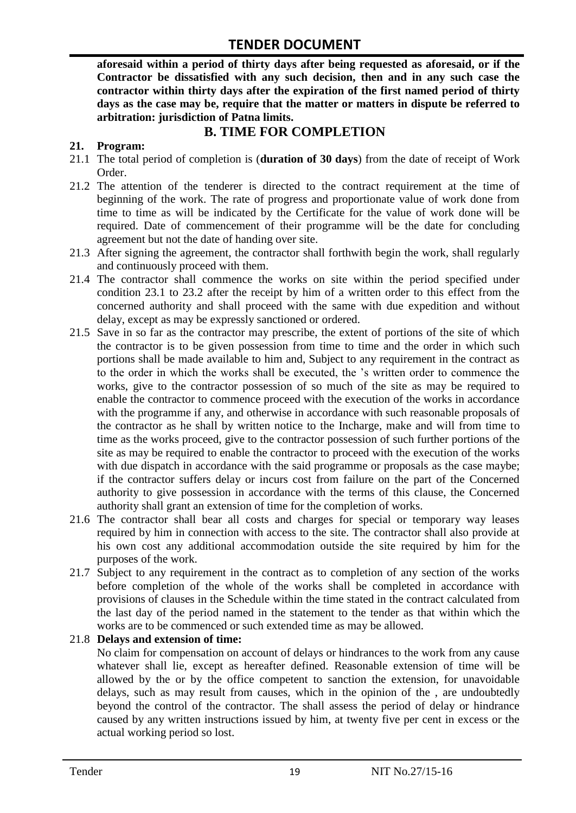**aforesaid within a period of thirty days after being requested as aforesaid, or if the Contractor be dissatisfied with any such decision, then and in any such case the contractor within thirty days after the expiration of the first named period of thirty days as the case may be, require that the matter or matters in dispute be referred to arbitration: jurisdiction of Patna limits.**

## **B. TIME FOR COMPLETION**

#### **21. Program:**

- 21.1 The total period of completion is (**duration of 30 days**) from the date of receipt of Work Order.
- 21.2 The attention of the tenderer is directed to the contract requirement at the time of beginning of the work. The rate of progress and proportionate value of work done from time to time as will be indicated by the Certificate for the value of work done will be required. Date of commencement of their programme will be the date for concluding agreement but not the date of handing over site.
- 21.3 After signing the agreement, the contractor shall forthwith begin the work, shall regularly and continuously proceed with them.
- 21.4 The contractor shall commence the works on site within the period specified under condition 23.1 to 23.2 after the receipt by him of a written order to this effect from the concerned authority and shall proceed with the same with due expedition and without delay, except as may be expressly sanctioned or ordered.
- 21.5 Save in so far as the contractor may prescribe, the extent of portions of the site of which the contractor is to be given possession from time to time and the order in which such portions shall be made available to him and, Subject to any requirement in the contract as to the order in which the works shall be executed, the "s written order to commence the works, give to the contractor possession of so much of the site as may be required to enable the contractor to commence proceed with the execution of the works in accordance with the programme if any, and otherwise in accordance with such reasonable proposals of the contractor as he shall by written notice to the Incharge, make and will from time to time as the works proceed, give to the contractor possession of such further portions of the site as may be required to enable the contractor to proceed with the execution of the works with due dispatch in accordance with the said programme or proposals as the case maybe; if the contractor suffers delay or incurs cost from failure on the part of the Concerned authority to give possession in accordance with the terms of this clause, the Concerned authority shall grant an extension of time for the completion of works.
- 21.6 The contractor shall bear all costs and charges for special or temporary way leases required by him in connection with access to the site. The contractor shall also provide at his own cost any additional accommodation outside the site required by him for the purposes of the work.
- 21.7 Subject to any requirement in the contract as to completion of any section of the works before completion of the whole of the works shall be completed in accordance with provisions of clauses in the Schedule within the time stated in the contract calculated from the last day of the period named in the statement to the tender as that within which the works are to be commenced or such extended time as may be allowed.

#### 21.8 **Delays and extension of time:**

No claim for compensation on account of delays or hindrances to the work from any cause whatever shall lie, except as hereafter defined. Reasonable extension of time will be allowed by the or by the office competent to sanction the extension, for unavoidable delays, such as may result from causes, which in the opinion of the , are undoubtedly beyond the control of the contractor. The shall assess the period of delay or hindrance caused by any written instructions issued by him, at twenty five per cent in excess or the actual working period so lost.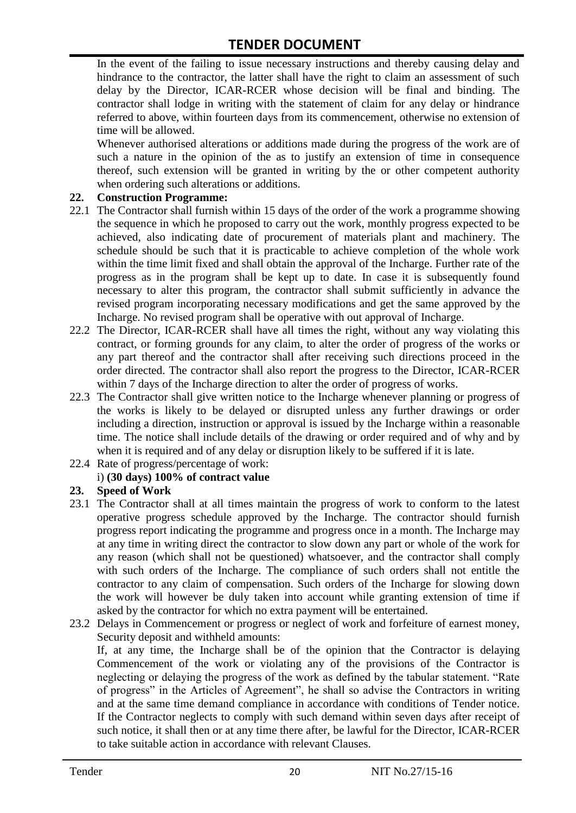In the event of the failing to issue necessary instructions and thereby causing delay and hindrance to the contractor, the latter shall have the right to claim an assessment of such delay by the Director, ICAR-RCER whose decision will be final and binding. The contractor shall lodge in writing with the statement of claim for any delay or hindrance referred to above, within fourteen days from its commencement, otherwise no extension of time will be allowed.

Whenever authorised alterations or additions made during the progress of the work are of such a nature in the opinion of the as to justify an extension of time in consequence thereof, such extension will be granted in writing by the or other competent authority when ordering such alterations or additions.

#### **22. Construction Programme:**

- 22.1 The Contractor shall furnish within 15 days of the order of the work a programme showing the sequence in which he proposed to carry out the work, monthly progress expected to be achieved, also indicating date of procurement of materials plant and machinery. The schedule should be such that it is practicable to achieve completion of the whole work within the time limit fixed and shall obtain the approval of the Incharge. Further rate of the progress as in the program shall be kept up to date. In case it is subsequently found necessary to alter this program, the contractor shall submit sufficiently in advance the revised program incorporating necessary modifications and get the same approved by the Incharge. No revised program shall be operative with out approval of Incharge.
- 22.2 The Director, ICAR-RCER shall have all times the right, without any way violating this contract, or forming grounds for any claim, to alter the order of progress of the works or any part thereof and the contractor shall after receiving such directions proceed in the order directed. The contractor shall also report the progress to the Director, ICAR-RCER within 7 days of the Incharge direction to alter the order of progress of works.
- 22.3 The Contractor shall give written notice to the Incharge whenever planning or progress of the works is likely to be delayed or disrupted unless any further drawings or order including a direction, instruction or approval is issued by the Incharge within a reasonable time. The notice shall include details of the drawing or order required and of why and by when it is required and of any delay or disruption likely to be suffered if it is late.
- 22.4 Rate of progress/percentage of work:

#### i) **(30 days) 100% of contract value**

#### **23. Speed of Work**

- 23.1 The Contractor shall at all times maintain the progress of work to conform to the latest operative progress schedule approved by the Incharge. The contractor should furnish progress report indicating the programme and progress once in a month. The Incharge may at any time in writing direct the contractor to slow down any part or whole of the work for any reason (which shall not be questioned) whatsoever, and the contractor shall comply with such orders of the Incharge. The compliance of such orders shall not entitle the contractor to any claim of compensation. Such orders of the Incharge for slowing down the work will however be duly taken into account while granting extension of time if asked by the contractor for which no extra payment will be entertained.
- 23.2 Delays in Commencement or progress or neglect of work and forfeiture of earnest money, Security deposit and withheld amounts:

If, at any time, the Incharge shall be of the opinion that the Contractor is delaying Commencement of the work or violating any of the provisions of the Contractor is neglecting or delaying the progress of the work as defined by the tabular statement. "Rate of progress" in the Articles of Agreement", he shall so advise the Contractors in writing and at the same time demand compliance in accordance with conditions of Tender notice. If the Contractor neglects to comply with such demand within seven days after receipt of such notice, it shall then or at any time there after, be lawful for the Director, ICAR-RCER to take suitable action in accordance with relevant Clauses.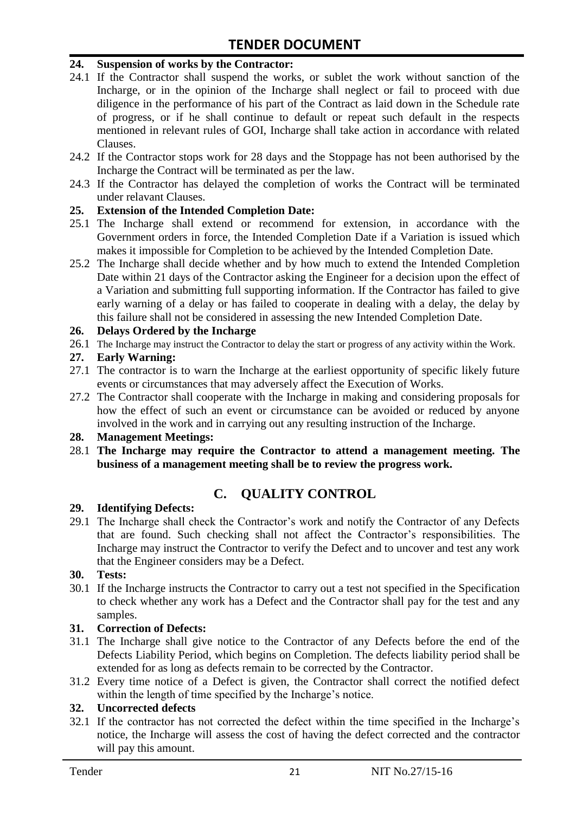#### **24. Suspension of works by the Contractor:**

- 24.1 If the Contractor shall suspend the works, or sublet the work without sanction of the Incharge, or in the opinion of the Incharge shall neglect or fail to proceed with due diligence in the performance of his part of the Contract as laid down in the Schedule rate of progress, or if he shall continue to default or repeat such default in the respects mentioned in relevant rules of GOI, Incharge shall take action in accordance with related Clauses.
- 24.2 If the Contractor stops work for 28 days and the Stoppage has not been authorised by the Incharge the Contract will be terminated as per the law.
- 24.3 If the Contractor has delayed the completion of works the Contract will be terminated under relavant Clauses.

#### **25. Extension of the Intended Completion Date:**

- 25.1 The Incharge shall extend or recommend for extension, in accordance with the Government orders in force, the Intended Completion Date if a Variation is issued which makes it impossible for Completion to be achieved by the Intended Completion Date.
- 25.2 The Incharge shall decide whether and by how much to extend the Intended Completion Date within 21 days of the Contractor asking the Engineer for a decision upon the effect of a Variation and submitting full supporting information. If the Contractor has failed to give early warning of a delay or has failed to cooperate in dealing with a delay, the delay by this failure shall not be considered in assessing the new Intended Completion Date.

#### **26. Delays Ordered by the Incharge**

26.1 The Incharge may instruct the Contractor to delay the start or progress of any activity within the Work.

#### **27. Early Warning:**

- 27.1 The contractor is to warn the Incharge at the earliest opportunity of specific likely future events or circumstances that may adversely affect the Execution of Works.
- 27.2 The Contractor shall cooperate with the Incharge in making and considering proposals for how the effect of such an event or circumstance can be avoided or reduced by anyone involved in the work and in carrying out any resulting instruction of the Incharge.

#### **28. Management Meetings:**

28.1 **The Incharge may require the Contractor to attend a management meeting. The business of a management meeting shall be to review the progress work.**

# **C. QUALITY CONTROL**

#### **29. Identifying Defects:**

29.1 The Incharge shall check the Contractor's work and notify the Contractor of any Defects that are found. Such checking shall not affect the Contractor"s responsibilities. The Incharge may instruct the Contractor to verify the Defect and to uncover and test any work that the Engineer considers may be a Defect.

#### **30. Tests:**

30.1 If the Incharge instructs the Contractor to carry out a test not specified in the Specification to check whether any work has a Defect and the Contractor shall pay for the test and any samples.

#### **31. Correction of Defects:**

- 31.1 The Incharge shall give notice to the Contractor of any Defects before the end of the Defects Liability Period, which begins on Completion. The defects liability period shall be extended for as long as defects remain to be corrected by the Contractor.
- 31.2 Every time notice of a Defect is given, the Contractor shall correct the notified defect within the length of time specified by the Incharge's notice.

#### **32. Uncorrected defects**

32.1 If the contractor has not corrected the defect within the time specified in the Incharge"s notice, the Incharge will assess the cost of having the defect corrected and the contractor will pay this amount.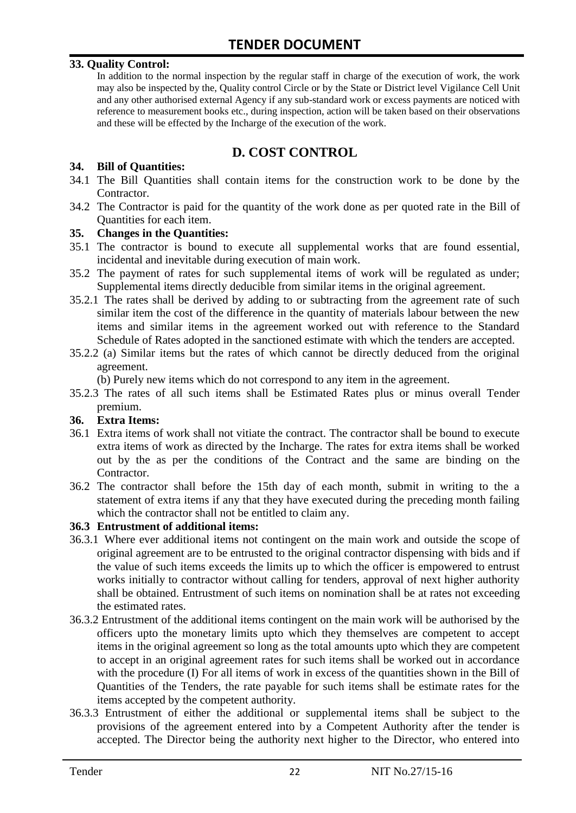#### **33. Quality Control:**

In addition to the normal inspection by the regular staff in charge of the execution of work, the work may also be inspected by the, Quality control Circle or by the State or District level Vigilance Cell Unit and any other authorised external Agency if any sub-standard work or excess payments are noticed with reference to measurement books etc., during inspection, action will be taken based on their observations and these will be effected by the Incharge of the execution of the work.

## **D. COST CONTROL**

#### **34. Bill of Quantities:**

- 34.1 The Bill Quantities shall contain items for the construction work to be done by the Contractor.
- 34.2 The Contractor is paid for the quantity of the work done as per quoted rate in the Bill of Quantities for each item.

#### **35. Changes in the Quantities:**

- 35.1 The contractor is bound to execute all supplemental works that are found essential, incidental and inevitable during execution of main work.
- 35.2 The payment of rates for such supplemental items of work will be regulated as under; Supplemental items directly deducible from similar items in the original agreement.
- 35.2.1 The rates shall be derived by adding to or subtracting from the agreement rate of such similar item the cost of the difference in the quantity of materials labour between the new items and similar items in the agreement worked out with reference to the Standard Schedule of Rates adopted in the sanctioned estimate with which the tenders are accepted.
- 35.2.2 (a) Similar items but the rates of which cannot be directly deduced from the original agreement.

(b) Purely new items which do not correspond to any item in the agreement.

35.2.3 The rates of all such items shall be Estimated Rates plus or minus overall Tender premium.

#### **36. Extra Items:**

- 36.1 Extra items of work shall not vitiate the contract. The contractor shall be bound to execute extra items of work as directed by the Incharge. The rates for extra items shall be worked out by the as per the conditions of the Contract and the same are binding on the Contractor.
- 36.2 The contractor shall before the 15th day of each month, submit in writing to the a statement of extra items if any that they have executed during the preceding month failing which the contractor shall not be entitled to claim any.

#### **36.3 Entrustment of additional items:**

- 36.3.1 Where ever additional items not contingent on the main work and outside the scope of original agreement are to be entrusted to the original contractor dispensing with bids and if the value of such items exceeds the limits up to which the officer is empowered to entrust works initially to contractor without calling for tenders, approval of next higher authority shall be obtained. Entrustment of such items on nomination shall be at rates not exceeding the estimated rates.
- 36.3.2 Entrustment of the additional items contingent on the main work will be authorised by the officers upto the monetary limits upto which they themselves are competent to accept items in the original agreement so long as the total amounts upto which they are competent to accept in an original agreement rates for such items shall be worked out in accordance with the procedure (I) For all items of work in excess of the quantities shown in the Bill of Quantities of the Tenders, the rate payable for such items shall be estimate rates for the items accepted by the competent authority.
- 36.3.3 Entrustment of either the additional or supplemental items shall be subject to the provisions of the agreement entered into by a Competent Authority after the tender is accepted. The Director being the authority next higher to the Director, who entered into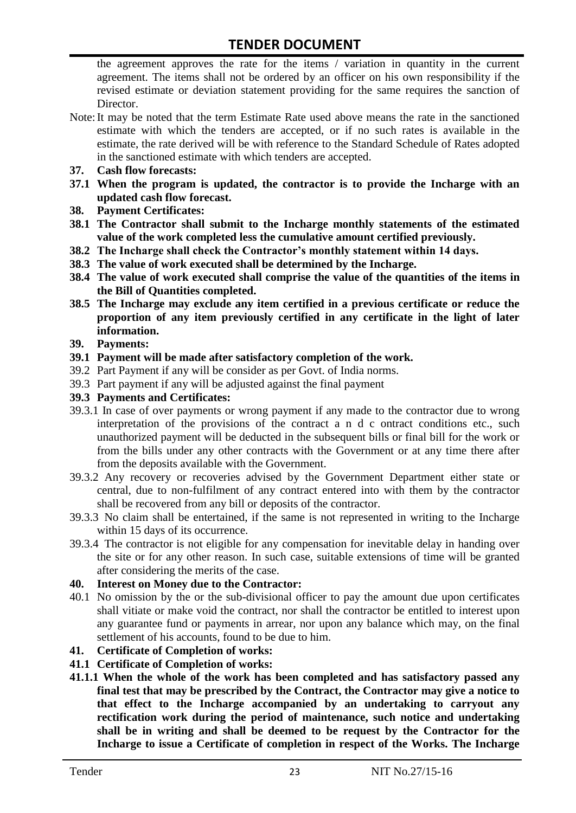the agreement approves the rate for the items / variation in quantity in the current agreement. The items shall not be ordered by an officer on his own responsibility if the revised estimate or deviation statement providing for the same requires the sanction of Director.

- Note:It may be noted that the term Estimate Rate used above means the rate in the sanctioned estimate with which the tenders are accepted, or if no such rates is available in the estimate, the rate derived will be with reference to the Standard Schedule of Rates adopted in the sanctioned estimate with which tenders are accepted.
- **37. Cash flow forecasts:**
- **37.1 When the program is updated, the contractor is to provide the Incharge with an updated cash flow forecast.**
- **38. Payment Certificates:**
- **38.1 The Contractor shall submit to the Incharge monthly statements of the estimated value of the work completed less the cumulative amount certified previously.**
- **38.2 The Incharge shall check the Contractor's monthly statement within 14 days.**
- **38.3 The value of work executed shall be determined by the Incharge.**
- **38.4 The value of work executed shall comprise the value of the quantities of the items in the Bill of Quantities completed.**
- **38.5 The Incharge may exclude any item certified in a previous certificate or reduce the proportion of any item previously certified in any certificate in the light of later information.**
- **39. Payments:**
- **39.1 Payment will be made after satisfactory completion of the work.**
- 39.2 Part Payment if any will be consider as per Govt. of India norms.
- 39.3 Part payment if any will be adjusted against the final payment
- **39.3 Payments and Certificates:**
- 39.3.1 In case of over payments or wrong payment if any made to the contractor due to wrong interpretation of the provisions of the contract a n d c ontract conditions etc., such unauthorized payment will be deducted in the subsequent bills or final bill for the work or from the bills under any other contracts with the Government or at any time there after from the deposits available with the Government.
- 39.3.2 Any recovery or recoveries advised by the Government Department either state or central, due to non-fulfilment of any contract entered into with them by the contractor shall be recovered from any bill or deposits of the contractor.
- 39.3.3 No claim shall be entertained, if the same is not represented in writing to the Incharge within 15 days of its occurrence.
- 39.3.4 The contractor is not eligible for any compensation for inevitable delay in handing over the site or for any other reason. In such case, suitable extensions of time will be granted after considering the merits of the case.

#### **40. Interest on Money due to the Contractor:**

- 40.1 No omission by the or the sub-divisional officer to pay the amount due upon certificates shall vitiate or make void the contract, nor shall the contractor be entitled to interest upon any guarantee fund or payments in arrear, nor upon any balance which may, on the final settlement of his accounts, found to be due to him.
- **41. Certificate of Completion of works:**
- **41.1 Certificate of Completion of works:**
- **41.1.1 When the whole of the work has been completed and has satisfactory passed any final test that may be prescribed by the Contract, the Contractor may give a notice to that effect to the Incharge accompanied by an undertaking to carryout any rectification work during the period of maintenance, such notice and undertaking shall be in writing and shall be deemed to be request by the Contractor for the Incharge to issue a Certificate of completion in respect of the Works. The Incharge**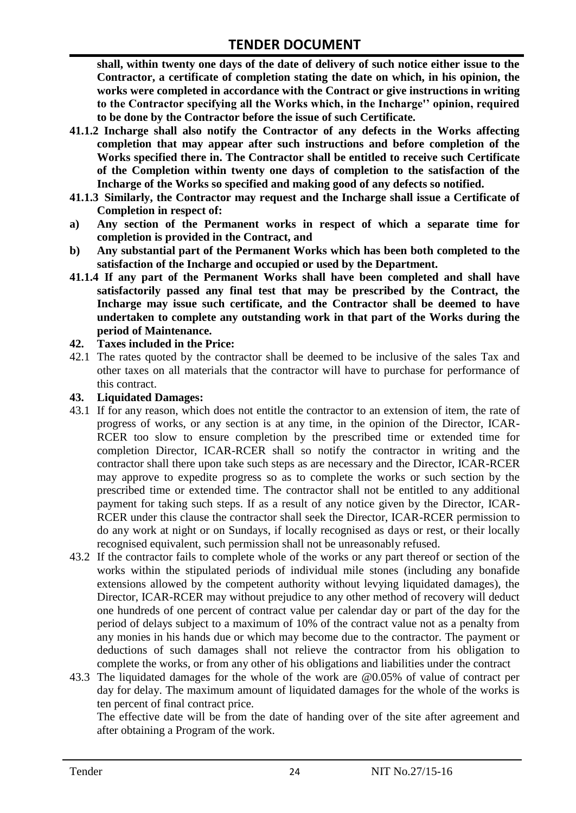**shall, within twenty one days of the date of delivery of such notice either issue to the Contractor, a certificate of completion stating the date on which, in his opinion, the works were completed in accordance with the Contract or give instructions in writing to the Contractor specifying all the Works which, in the Incharge'' opinion, required to be done by the Contractor before the issue of such Certificate.**

- **41.1.2 Incharge shall also notify the Contractor of any defects in the Works affecting completion that may appear after such instructions and before completion of the Works specified there in. The Contractor shall be entitled to receive such Certificate of the Completion within twenty one days of completion to the satisfaction of the Incharge of the Works so specified and making good of any defects so notified.**
- **41.1.3 Similarly, the Contractor may request and the Incharge shall issue a Certificate of Completion in respect of:**
- **a) Any section of the Permanent works in respect of which a separate time for completion is provided in the Contract, and**
- **b) Any substantial part of the Permanent Works which has been both completed to the satisfaction of the Incharge and occupied or used by the Department.**
- **41.1.4 If any part of the Permanent Works shall have been completed and shall have satisfactorily passed any final test that may be prescribed by the Contract, the Incharge may issue such certificate, and the Contractor shall be deemed to have undertaken to complete any outstanding work in that part of the Works during the period of Maintenance.**

#### **42. Taxes included in the Price:**

42.1 The rates quoted by the contractor shall be deemed to be inclusive of the sales Tax and other taxes on all materials that the contractor will have to purchase for performance of this contract.

#### **43. Liquidated Damages:**

- 43.1 If for any reason, which does not entitle the contractor to an extension of item, the rate of progress of works, or any section is at any time, in the opinion of the Director, ICAR-RCER too slow to ensure completion by the prescribed time or extended time for completion Director, ICAR-RCER shall so notify the contractor in writing and the contractor shall there upon take such steps as are necessary and the Director, ICAR-RCER may approve to expedite progress so as to complete the works or such section by the prescribed time or extended time. The contractor shall not be entitled to any additional payment for taking such steps. If as a result of any notice given by the Director, ICAR-RCER under this clause the contractor shall seek the Director, ICAR-RCER permission to do any work at night or on Sundays, if locally recognised as days or rest, or their locally recognised equivalent, such permission shall not be unreasonably refused.
- 43.2 If the contractor fails to complete whole of the works or any part thereof or section of the works within the stipulated periods of individual mile stones (including any bonafide extensions allowed by the competent authority without levying liquidated damages), the Director, ICAR-RCER may without prejudice to any other method of recovery will deduct one hundreds of one percent of contract value per calendar day or part of the day for the period of delays subject to a maximum of 10% of the contract value not as a penalty from any monies in his hands due or which may become due to the contractor. The payment or deductions of such damages shall not relieve the contractor from his obligation to complete the works, or from any other of his obligations and liabilities under the contract
- 43.3 The liquidated damages for the whole of the work are @0.05% of value of contract per day for delay. The maximum amount of liquidated damages for the whole of the works is ten percent of final contract price.

The effective date will be from the date of handing over of the site after agreement and after obtaining a Program of the work.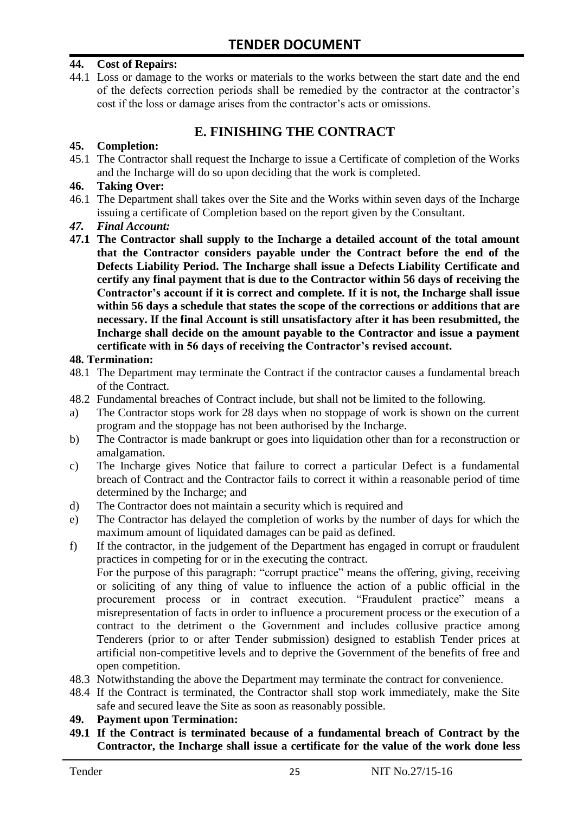#### **44. Cost of Repairs:**

44.1 Loss or damage to the works or materials to the works between the start date and the end of the defects correction periods shall be remedied by the contractor at the contractor"s cost if the loss or damage arises from the contractor's acts or omissions.

## **E. FINISHING THE CONTRACT**

#### **45. Completion:**

45.1 The Contractor shall request the Incharge to issue a Certificate of completion of the Works and the Incharge will do so upon deciding that the work is completed.

#### **46. Taking Over:**

- 46.1 The Department shall takes over the Site and the Works within seven days of the Incharge issuing a certificate of Completion based on the report given by the Consultant.
- *47. Final Account:*
- **47.1 The Contractor shall supply to the Incharge a detailed account of the total amount that the Contractor considers payable under the Contract before the end of the Defects Liability Period. The Incharge shall issue a Defects Liability Certificate and certify any final payment that is due to the Contractor within 56 days of receiving the Contractor's account if it is correct and complete. If it is not, the Incharge shall issue within 56 days a schedule that states the scope of the corrections or additions that are necessary. If the final Account is still unsatisfactory after it has been resubmitted, the Incharge shall decide on the amount payable to the Contractor and issue a payment certificate with in 56 days of receiving the Contractor's revised account.**

#### **48. Termination:**

- 48.1 The Department may terminate the Contract if the contractor causes a fundamental breach of the Contract.
- 48.2 Fundamental breaches of Contract include, but shall not be limited to the following.
- a) The Contractor stops work for 28 days when no stoppage of work is shown on the current program and the stoppage has not been authorised by the Incharge.
- b) The Contractor is made bankrupt or goes into liquidation other than for a reconstruction or amalgamation.
- c) The Incharge gives Notice that failure to correct a particular Defect is a fundamental breach of Contract and the Contractor fails to correct it within a reasonable period of time determined by the Incharge; and
- d) The Contractor does not maintain a security which is required and
- e) The Contractor has delayed the completion of works by the number of days for which the maximum amount of liquidated damages can be paid as defined.
- f) If the contractor, in the judgement of the Department has engaged in corrupt or fraudulent practices in competing for or in the executing the contract.

For the purpose of this paragraph: "corrupt practice" means the offering, giving, receiving or soliciting of any thing of value to influence the action of a public official in the procurement process or in contract execution. "Fraudulent practice" means a misrepresentation of facts in order to influence a procurement process or the execution of a contract to the detriment o the Government and includes collusive practice among Tenderers (prior to or after Tender submission) designed to establish Tender prices at artificial non-competitive levels and to deprive the Government of the benefits of free and open competition.

- 48.3 Notwithstanding the above the Department may terminate the contract for convenience.
- 48.4 If the Contract is terminated, the Contractor shall stop work immediately, make the Site safe and secured leave the Site as soon as reasonably possible.

#### **49. Payment upon Termination:**

**49.1 If the Contract is terminated because of a fundamental breach of Contract by the Contractor, the Incharge shall issue a certificate for the value of the work done less**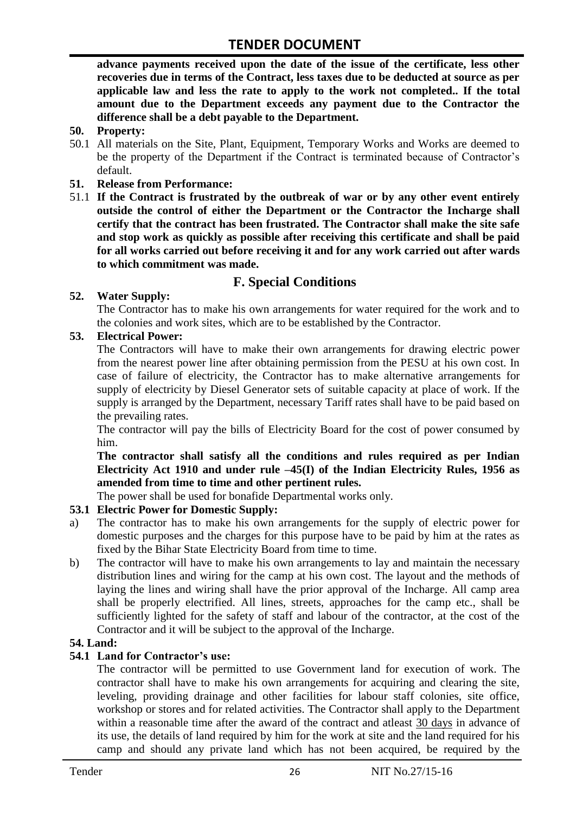**advance payments received upon the date of the issue of the certificate, less other recoveries due in terms of the Contract, less taxes due to be deducted at source as per applicable law and less the rate to apply to the work not completed.. If the total amount due to the Department exceeds any payment due to the Contractor the difference shall be a debt payable to the Department.**

- **50. Property:**
- 50.1 All materials on the Site, Plant, Equipment, Temporary Works and Works are deemed to be the property of the Department if the Contract is terminated because of Contractor's default.
- **51. Release from Performance:**
- 51.1 **If the Contract is frustrated by the outbreak of war or by any other event entirely outside the control of either the Department or the Contractor the Incharge shall certify that the contract has been frustrated. The Contractor shall make the site safe and stop work as quickly as possible after receiving this certificate and shall be paid for all works carried out before receiving it and for any work carried out after wards to which commitment was made.**

# **F. Special Conditions**

#### **52. Water Supply:**

The Contractor has to make his own arrangements for water required for the work and to the colonies and work sites, which are to be established by the Contractor.

#### **53. Electrical Power:**

The Contractors will have to make their own arrangements for drawing electric power from the nearest power line after obtaining permission from the PESU at his own cost. In case of failure of electricity, the Contractor has to make alternative arrangements for supply of electricity by Diesel Generator sets of suitable capacity at place of work. If the supply is arranged by the Department, necessary Tariff rates shall have to be paid based on the prevailing rates.

The contractor will pay the bills of Electricity Board for the cost of power consumed by him.

**The contractor shall satisfy all the conditions and rules required as per Indian Electricity Act 1910 and under rule –45(I) of the Indian Electricity Rules, 1956 as amended from time to time and other pertinent rules.**

The power shall be used for bonafide Departmental works only.

#### **53.1 Electric Power for Domestic Supply:**

- a) The contractor has to make his own arrangements for the supply of electric power for domestic purposes and the charges for this purpose have to be paid by him at the rates as fixed by the Bihar State Electricity Board from time to time.
- b) The contractor will have to make his own arrangements to lay and maintain the necessary distribution lines and wiring for the camp at his own cost. The layout and the methods of laying the lines and wiring shall have the prior approval of the Incharge. All camp area shall be properly electrified. All lines, streets, approaches for the camp etc., shall be sufficiently lighted for the safety of staff and labour of the contractor, at the cost of the Contractor and it will be subject to the approval of the Incharge.

#### **54. Land:**

#### **54.1 Land for Contractor's use:**

The contractor will be permitted to use Government land for execution of work. The contractor shall have to make his own arrangements for acquiring and clearing the site, leveling, providing drainage and other facilities for labour staff colonies, site office, workshop or stores and for related activities. The Contractor shall apply to the Department within a reasonable time after the award of the contract and atleast 30 days in advance of its use, the details of land required by him for the work at site and the land required for his camp and should any private land which has not been acquired, be required by the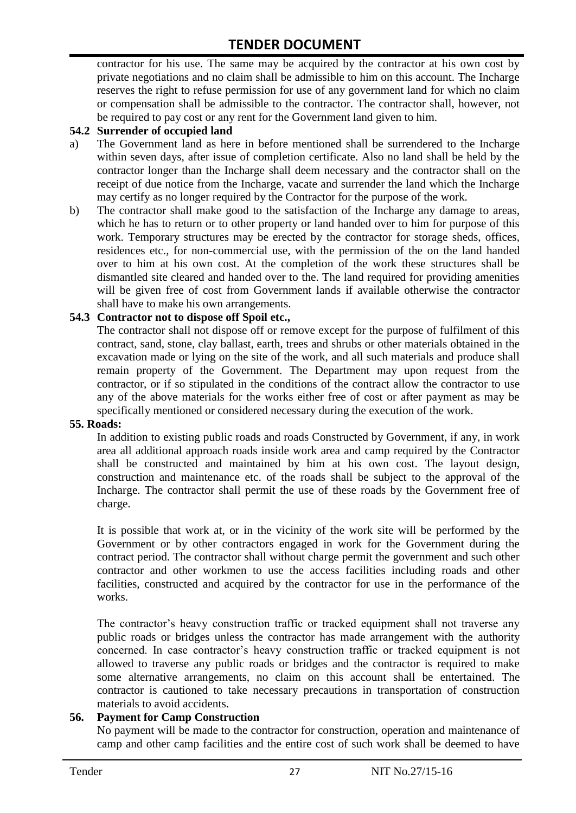contractor for his use. The same may be acquired by the contractor at his own cost by private negotiations and no claim shall be admissible to him on this account. The Incharge reserves the right to refuse permission for use of any government land for which no claim or compensation shall be admissible to the contractor. The contractor shall, however, not be required to pay cost or any rent for the Government land given to him.

#### **54.2 Surrender of occupied land**

- a) The Government land as here in before mentioned shall be surrendered to the Incharge within seven days, after issue of completion certificate. Also no land shall be held by the contractor longer than the Incharge shall deem necessary and the contractor shall on the receipt of due notice from the Incharge, vacate and surrender the land which the Incharge may certify as no longer required by the Contractor for the purpose of the work.
- b) The contractor shall make good to the satisfaction of the Incharge any damage to areas, which he has to return or to other property or land handed over to him for purpose of this work. Temporary structures may be erected by the contractor for storage sheds, offices, residences etc., for non-commercial use, with the permission of the on the land handed over to him at his own cost. At the completion of the work these structures shall be dismantled site cleared and handed over to the. The land required for providing amenities will be given free of cost from Government lands if available otherwise the contractor shall have to make his own arrangements.

#### **54.3 Contractor not to dispose off Spoil etc.,**

The contractor shall not dispose off or remove except for the purpose of fulfilment of this contract, sand, stone, clay ballast, earth, trees and shrubs or other materials obtained in the excavation made or lying on the site of the work, and all such materials and produce shall remain property of the Government. The Department may upon request from the contractor, or if so stipulated in the conditions of the contract allow the contractor to use any of the above materials for the works either free of cost or after payment as may be specifically mentioned or considered necessary during the execution of the work.

#### **55. Roads:**

In addition to existing public roads and roads Constructed by Government, if any, in work area all additional approach roads inside work area and camp required by the Contractor shall be constructed and maintained by him at his own cost. The layout design, construction and maintenance etc. of the roads shall be subject to the approval of the Incharge. The contractor shall permit the use of these roads by the Government free of charge.

It is possible that work at, or in the vicinity of the work site will be performed by the Government or by other contractors engaged in work for the Government during the contract period. The contractor shall without charge permit the government and such other contractor and other workmen to use the access facilities including roads and other facilities, constructed and acquired by the contractor for use in the performance of the works.

The contractor's heavy construction traffic or tracked equipment shall not traverse any public roads or bridges unless the contractor has made arrangement with the authority concerned. In case contractor"s heavy construction traffic or tracked equipment is not allowed to traverse any public roads or bridges and the contractor is required to make some alternative arrangements, no claim on this account shall be entertained. The contractor is cautioned to take necessary precautions in transportation of construction materials to avoid accidents.

#### **56. Payment for Camp Construction**

No payment will be made to the contractor for construction, operation and maintenance of camp and other camp facilities and the entire cost of such work shall be deemed to have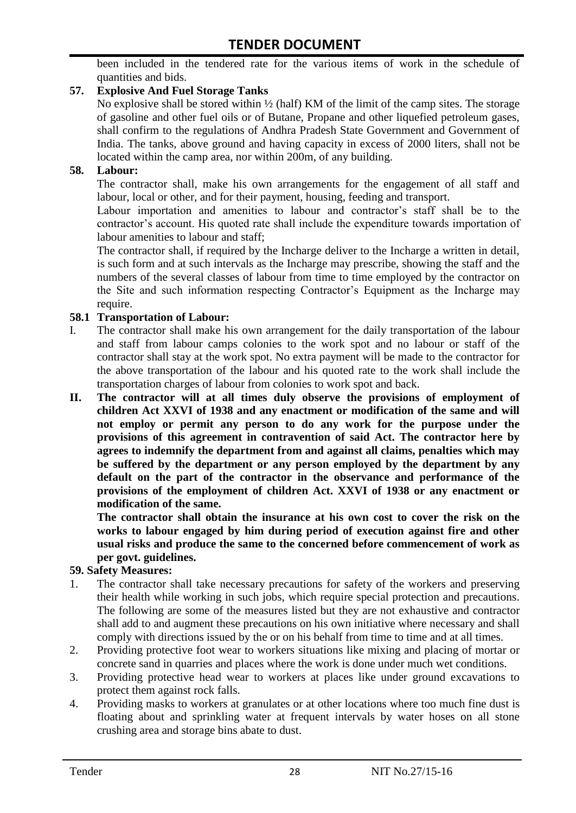been included in the tendered rate for the various items of work in the schedule of quantities and bids.

#### **57. Explosive And Fuel Storage Tanks**

No explosive shall be stored within ½ (half) KM of the limit of the camp sites. The storage of gasoline and other fuel oils or of Butane, Propane and other liquefied petroleum gases, shall confirm to the regulations of Andhra Pradesh State Government and Government of India. The tanks, above ground and having capacity in excess of 2000 liters, shall not be located within the camp area, nor within 200m, of any building.

#### **58. Labour:**

The contractor shall, make his own arrangements for the engagement of all staff and labour, local or other, and for their payment, housing, feeding and transport.

Labour importation and amenities to labour and contractor's staff shall be to the contractor's account. His quoted rate shall include the expenditure towards importation of labour amenities to labour and staff;

The contractor shall, if required by the Incharge deliver to the Incharge a written in detail, is such form and at such intervals as the Incharge may prescribe, showing the staff and the numbers of the several classes of labour from time to time employed by the contractor on the Site and such information respecting Contractor"s Equipment as the Incharge may require.

#### **58.1 Transportation of Labour:**

- I. The contractor shall make his own arrangement for the daily transportation of the labour and staff from labour camps colonies to the work spot and no labour or staff of the contractor shall stay at the work spot. No extra payment will be made to the contractor for the above transportation of the labour and his quoted rate to the work shall include the transportation charges of labour from colonies to work spot and back.
- **II. The contractor will at all times duly observe the provisions of employment of children Act XXVI of 1938 and any enactment or modification of the same and will not employ or permit any person to do any work for the purpose under the provisions of this agreement in contravention of said Act. The contractor here by agrees to indemnify the department from and against all claims, penalties which may be suffered by the department or any person employed by the department by any default on the part of the contractor in the observance and performance of the provisions of the employment of children Act. XXVI of 1938 or any enactment or modification of the same.**

**The contractor shall obtain the insurance at his own cost to cover the risk on the works to labour engaged by him during period of execution against fire and other usual risks and produce the same to the concerned before commencement of work as per govt. guidelines.**

#### **59. Safety Measures:**

- 1. The contractor shall take necessary precautions for safety of the workers and preserving their health while working in such jobs, which require special protection and precautions. The following are some of the measures listed but they are not exhaustive and contractor shall add to and augment these precautions on his own initiative where necessary and shall comply with directions issued by the or on his behalf from time to time and at all times.
- 2. Providing protective foot wear to workers situations like mixing and placing of mortar or concrete sand in quarries and places where the work is done under much wet conditions.
- 3. Providing protective head wear to workers at places like under ground excavations to protect them against rock falls.
- 4. Providing masks to workers at granulates or at other locations where too much fine dust is floating about and sprinkling water at frequent intervals by water hoses on all stone crushing area and storage bins abate to dust.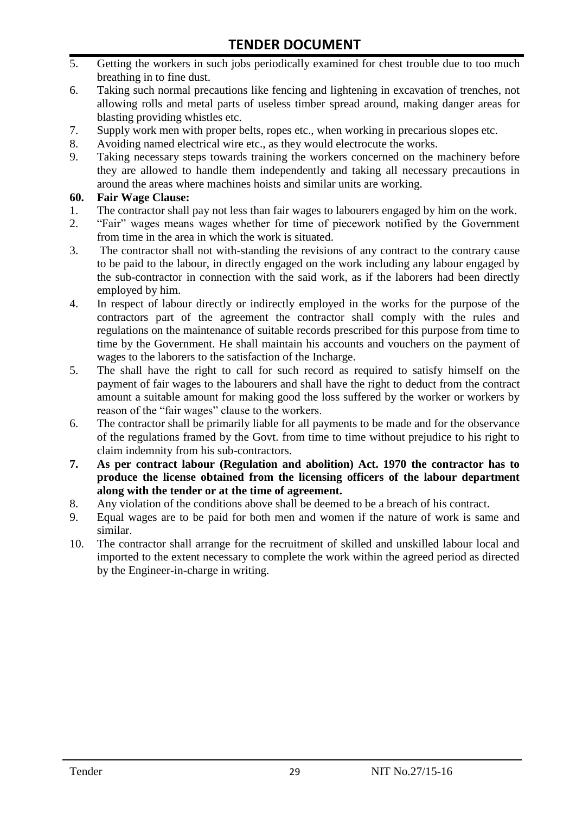- 5. Getting the workers in such jobs periodically examined for chest trouble due to too much breathing in to fine dust.
- 6. Taking such normal precautions like fencing and lightening in excavation of trenches, not allowing rolls and metal parts of useless timber spread around, making danger areas for blasting providing whistles etc.
- 7. Supply work men with proper belts, ropes etc., when working in precarious slopes etc.
- 8. Avoiding named electrical wire etc., as they would electrocute the works.
- 9. Taking necessary steps towards training the workers concerned on the machinery before they are allowed to handle them independently and taking all necessary precautions in around the areas where machines hoists and similar units are working.

#### **60. Fair Wage Clause:**

- 1. The contractor shall pay not less than fair wages to labourers engaged by him on the work.
- 2. "Fair" wages means wages whether for time of piecework notified by the Government from time in the area in which the work is situated.
- 3. The contractor shall not with-standing the revisions of any contract to the contrary cause to be paid to the labour, in directly engaged on the work including any labour engaged by the sub-contractor in connection with the said work, as if the laborers had been directly employed by him.
- 4. In respect of labour directly or indirectly employed in the works for the purpose of the contractors part of the agreement the contractor shall comply with the rules and regulations on the maintenance of suitable records prescribed for this purpose from time to time by the Government. He shall maintain his accounts and vouchers on the payment of wages to the laborers to the satisfaction of the Incharge.
- 5. The shall have the right to call for such record as required to satisfy himself on the payment of fair wages to the labourers and shall have the right to deduct from the contract amount a suitable amount for making good the loss suffered by the worker or workers by reason of the "fair wages" clause to the workers.
- 6. The contractor shall be primarily liable for all payments to be made and for the observance of the regulations framed by the Govt. from time to time without prejudice to his right to claim indemnity from his sub-contractors.
- **7. As per contract labour (Regulation and abolition) Act. 1970 the contractor has to produce the license obtained from the licensing officers of the labour department along with the tender or at the time of agreement.**
- 8. Any violation of the conditions above shall be deemed to be a breach of his contract.
- 9. Equal wages are to be paid for both men and women if the nature of work is same and similar.
- 10. The contractor shall arrange for the recruitment of skilled and unskilled labour local and imported to the extent necessary to complete the work within the agreed period as directed by the Engineer-in-charge in writing.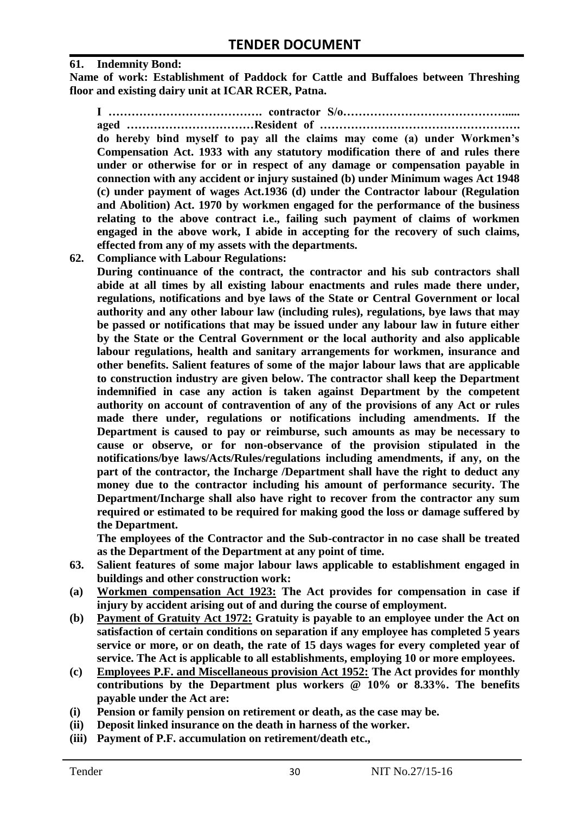#### **61. Indemnity Bond:**

**Name of work: Establishment of Paddock for Cattle and Buffaloes between Threshing floor and existing dairy unit at ICAR RCER, Patna.**

**I …………………………………. contractor S/o……………………………………..... aged ……………………………Resident of ……………………………………………. do hereby bind myself to pay all the claims may come (a) under Workmen's Compensation Act. 1933 with any statutory modification there of and rules there under or otherwise for or in respect of any damage or compensation payable in connection with any accident or injury sustained (b) under Minimum wages Act 1948 (c) under payment of wages Act.1936 (d) under the Contractor labour (Regulation and Abolition) Act. 1970 by workmen engaged for the performance of the business relating to the above contract i.e., failing such payment of claims of workmen engaged in the above work, I abide in accepting for the recovery of such claims, effected from any of my assets with the departments.**

**62. Compliance with Labour Regulations:**

**During continuance of the contract, the contractor and his sub contractors shall abide at all times by all existing labour enactments and rules made there under, regulations, notifications and bye laws of the State or Central Government or local authority and any other labour law (including rules), regulations, bye laws that may be passed or notifications that may be issued under any labour law in future either by the State or the Central Government or the local authority and also applicable labour regulations, health and sanitary arrangements for workmen, insurance and other benefits. Salient features of some of the major labour laws that are applicable to construction industry are given below. The contractor shall keep the Department indemnified in case any action is taken against Department by the competent authority on account of contravention of any of the provisions of any Act or rules made there under, regulations or notifications including amendments. If the Department is caused to pay or reimburse, such amounts as may be necessary to cause or observe, or for non-observance of the provision stipulated in the notifications/bye laws/Acts/Rules/regulations including amendments, if any, on the part of the contractor, the Incharge /Department shall have the right to deduct any money due to the contractor including his amount of performance security. The Department/Incharge shall also have right to recover from the contractor any sum required or estimated to be required for making good the loss or damage suffered by the Department.**

**The employees of the Contractor and the Sub-contractor in no case shall be treated as the Department of the Department at any point of time.**

- **63. Salient features of some major labour laws applicable to establishment engaged in buildings and other construction work:**
- **(a) Workmen compensation Act 1923: The Act provides for compensation in case if injury by accident arising out of and during the course of employment.**
- **(b) Payment of Gratuity Act 1972: Gratuity is payable to an employee under the Act on satisfaction of certain conditions on separation if any employee has completed 5 years service or more, or on death, the rate of 15 days wages for every completed year of service. The Act is applicable to all establishments, employing 10 or more employees.**
- **(c) Employees P.F. and Miscellaneous provision Act 1952: The Act provides for monthly contributions by the Department plus workers @ 10% or 8.33%. The benefits payable under the Act are:**
- **(i) Pension or family pension on retirement or death, as the case may be.**
- **(ii) Deposit linked insurance on the death in harness of the worker.**
- **(iii) Payment of P.F. accumulation on retirement/death etc.,**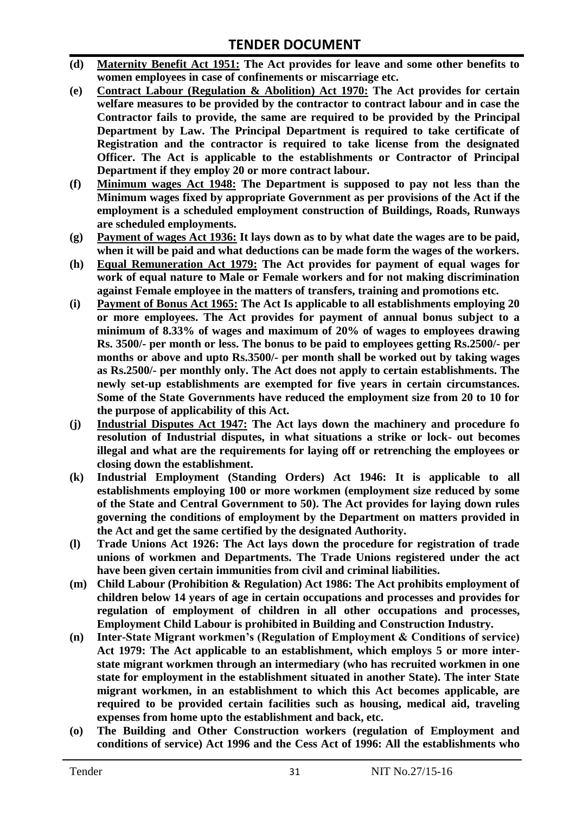- **(d) Maternity Benefit Act 1951: The Act provides for leave and some other benefits to women employees in case of confinements or miscarriage etc.**
- **(e) Contract Labour (Regulation & Abolition) Act 1970: The Act provides for certain welfare measures to be provided by the contractor to contract labour and in case the Contractor fails to provide, the same are required to be provided by the Principal Department by Law. The Principal Department is required to take certificate of Registration and the contractor is required to take license from the designated Officer. The Act is applicable to the establishments or Contractor of Principal Department if they employ 20 or more contract labour.**
- **(f) Minimum wages Act 1948: The Department is supposed to pay not less than the Minimum wages fixed by appropriate Government as per provisions of the Act if the employment is a scheduled employment construction of Buildings, Roads, Runways are scheduled employments.**
- **(g) Payment of wages Act 1936: It lays down as to by what date the wages are to be paid, when it will be paid and what deductions can be made form the wages of the workers.**
- **(h) Equal Remuneration Act 1979: The Act provides for payment of equal wages for work of equal nature to Male or Female workers and for not making discrimination against Female employee in the matters of transfers, training and promotions etc.**
- **(i) Payment of Bonus Act 1965: The Act Is applicable to all establishments employing 20 or more employees. The Act provides for payment of annual bonus subject to a minimum of 8.33% of wages and maximum of 20% of wages to employees drawing Rs. 3500/- per month or less. The bonus to be paid to employees getting Rs.2500/- per months or above and upto Rs.3500/- per month shall be worked out by taking wages as Rs.2500/- per monthly only. The Act does not apply to certain establishments. The newly set-up establishments are exempted for five years in certain circumstances. Some of the State Governments have reduced the employment size from 20 to 10 for the purpose of applicability of this Act.**
- **(j) Industrial Disputes Act 1947: The Act lays down the machinery and procedure fo resolution of Industrial disputes, in what situations a strike or lock- out becomes illegal and what are the requirements for laying off or retrenching the employees or closing down the establishment.**
- **(k) Industrial Employment (Standing Orders) Act 1946: It is applicable to all establishments employing 100 or more workmen (employment size reduced by some of the State and Central Government to 50). The Act provides for laying down rules governing the conditions of employment by the Department on matters provided in the Act and get the same certified by the designated Authority.**
- **(l) Trade Unions Act 1926: The Act lays down the procedure for registration of trade unions of workmen and Departments. The Trade Unions registered under the act have been given certain immunities from civil and criminal liabilities.**
- **(m) Child Labour (Prohibition & Regulation) Act 1986: The Act prohibits employment of children below 14 years of age in certain occupations and processes and provides for regulation of employment of children in all other occupations and processes, Employment Child Labour is prohibited in Building and Construction Industry.**
- **(n) Inter-State Migrant workmen's (Regulation of Employment & Conditions of service) Act 1979: The Act applicable to an establishment, which employs 5 or more interstate migrant workmen through an intermediary (who has recruited workmen in one state for employment in the establishment situated in another State). The inter State migrant workmen, in an establishment to which this Act becomes applicable, are required to be provided certain facilities such as housing, medical aid, traveling expenses from home upto the establishment and back, etc.**
- **(o) The Building and Other Construction workers (regulation of Employment and conditions of service) Act 1996 and the Cess Act of 1996: All the establishments who**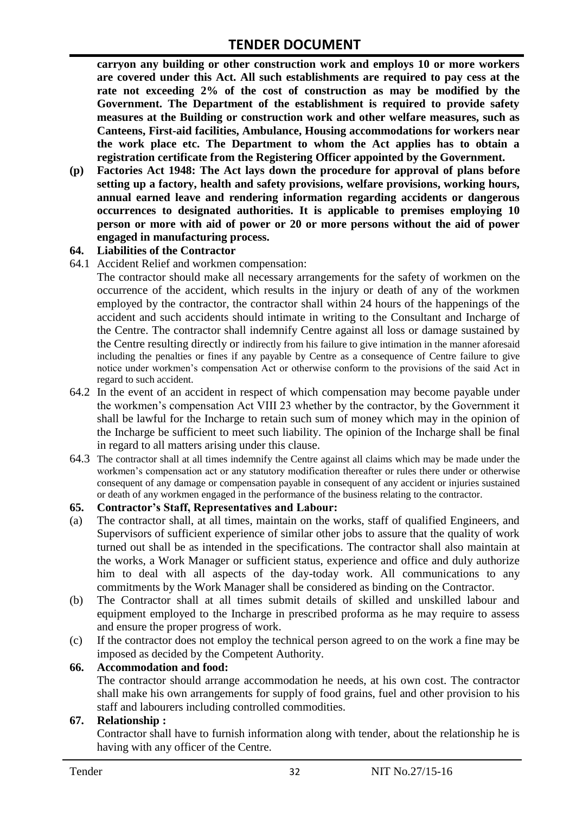**carryon any building or other construction work and employs 10 or more workers are covered under this Act. All such establishments are required to pay cess at the rate not exceeding 2% of the cost of construction as may be modified by the Government. The Department of the establishment is required to provide safety measures at the Building or construction work and other welfare measures, such as Canteens, First-aid facilities, Ambulance, Housing accommodations for workers near the work place etc. The Department to whom the Act applies has to obtain a registration certificate from the Registering Officer appointed by the Government.**

**(p) Factories Act 1948: The Act lays down the procedure for approval of plans before setting up a factory, health and safety provisions, welfare provisions, working hours, annual earned leave and rendering information regarding accidents or dangerous occurrences to designated authorities. It is applicable to premises employing 10 person or more with aid of power or 20 or more persons without the aid of power engaged in manufacturing process.**

#### **64. Liabilities of the Contractor**

64.1 Accident Relief and workmen compensation:

The contractor should make all necessary arrangements for the safety of workmen on the occurrence of the accident, which results in the injury or death of any of the workmen employed by the contractor, the contractor shall within 24 hours of the happenings of the accident and such accidents should intimate in writing to the Consultant and Incharge of the Centre. The contractor shall indemnify Centre against all loss or damage sustained by the Centre resulting directly or indirectly from his failure to give intimation in the manner aforesaid including the penalties or fines if any payable by Centre as a consequence of Centre failure to give notice under workmen"s compensation Act or otherwise conform to the provisions of the said Act in regard to such accident.

- 64.2 In the event of an accident in respect of which compensation may become payable under the workmen"s compensation Act VIII 23 whether by the contractor, by the Government it shall be lawful for the Incharge to retain such sum of money which may in the opinion of the Incharge be sufficient to meet such liability. The opinion of the Incharge shall be final in regard to all matters arising under this clause.
- 64.3 The contractor shall at all times indemnify the Centre against all claims which may be made under the workmen"s compensation act or any statutory modification thereafter or rules there under or otherwise consequent of any damage or compensation payable in consequent of any accident or injuries sustained or death of any workmen engaged in the performance of the business relating to the contractor.

#### **65. Contractor's Staff, Representatives and Labour:**

- (a) The contractor shall, at all times, maintain on the works, staff of qualified Engineers, and Supervisors of sufficient experience of similar other jobs to assure that the quality of work turned out shall be as intended in the specifications. The contractor shall also maintain at the works, a Work Manager or sufficient status, experience and office and duly authorize him to deal with all aspects of the day-today work. All communications to any commitments by the Work Manager shall be considered as binding on the Contractor.
- (b) The Contractor shall at all times submit details of skilled and unskilled labour and equipment employed to the Incharge in prescribed proforma as he may require to assess and ensure the proper progress of work.
- (c) If the contractor does not employ the technical person agreed to on the work a fine may be imposed as decided by the Competent Authority.

#### **66. Accommodation and food:**

The contractor should arrange accommodation he needs, at his own cost. The contractor shall make his own arrangements for supply of food grains, fuel and other provision to his staff and labourers including controlled commodities.

#### **67. Relationship :**

Contractor shall have to furnish information along with tender, about the relationship he is having with any officer of the Centre.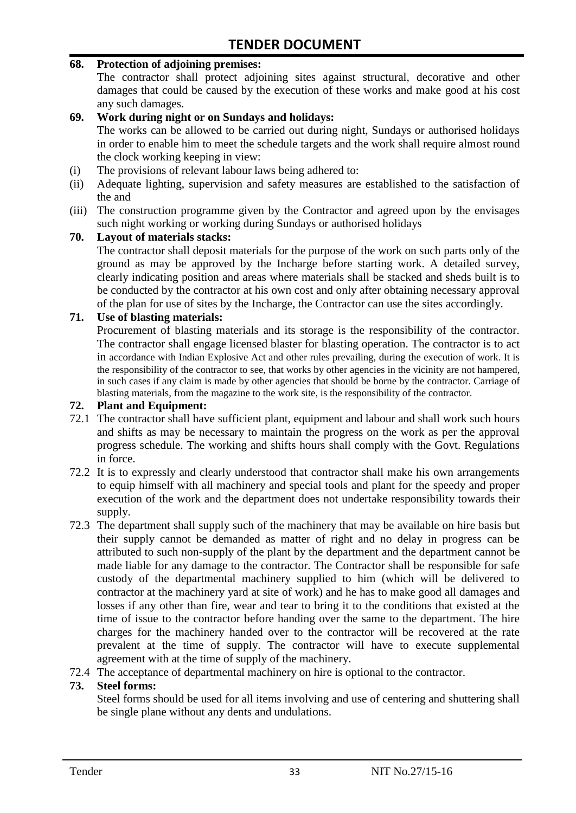#### **68. Protection of adjoining premises:**

The contractor shall protect adjoining sites against structural, decorative and other damages that could be caused by the execution of these works and make good at his cost any such damages.

#### **69. Work during night or on Sundays and holidays:**

The works can be allowed to be carried out during night, Sundays or authorised holidays in order to enable him to meet the schedule targets and the work shall require almost round the clock working keeping in view:

- (i) The provisions of relevant labour laws being adhered to:
- (ii) Adequate lighting, supervision and safety measures are established to the satisfaction of the and
- (iii) The construction programme given by the Contractor and agreed upon by the envisages such night working or working during Sundays or authorised holidays

#### **70. Layout of materials stacks:**

The contractor shall deposit materials for the purpose of the work on such parts only of the ground as may be approved by the Incharge before starting work. A detailed survey, clearly indicating position and areas where materials shall be stacked and sheds built is to be conducted by the contractor at his own cost and only after obtaining necessary approval of the plan for use of sites by the Incharge, the Contractor can use the sites accordingly.

#### **71. Use of blasting materials:**

Procurement of blasting materials and its storage is the responsibility of the contractor. The contractor shall engage licensed blaster for blasting operation. The contractor is to act in accordance with Indian Explosive Act and other rules prevailing, during the execution of work. It is the responsibility of the contractor to see, that works by other agencies in the vicinity are not hampered, in such cases if any claim is made by other agencies that should be borne by the contractor. Carriage of blasting materials, from the magazine to the work site, is the responsibility of the contractor.

#### **72. Plant and Equipment:**

- 72.1 The contractor shall have sufficient plant, equipment and labour and shall work such hours and shifts as may be necessary to maintain the progress on the work as per the approval progress schedule. The working and shifts hours shall comply with the Govt. Regulations in force.
- 72.2 It is to expressly and clearly understood that contractor shall make his own arrangements to equip himself with all machinery and special tools and plant for the speedy and proper execution of the work and the department does not undertake responsibility towards their supply.
- 72.3 The department shall supply such of the machinery that may be available on hire basis but their supply cannot be demanded as matter of right and no delay in progress can be attributed to such non-supply of the plant by the department and the department cannot be made liable for any damage to the contractor. The Contractor shall be responsible for safe custody of the departmental machinery supplied to him (which will be delivered to contractor at the machinery yard at site of work) and he has to make good all damages and losses if any other than fire, wear and tear to bring it to the conditions that existed at the time of issue to the contractor before handing over the same to the department. The hire charges for the machinery handed over to the contractor will be recovered at the rate prevalent at the time of supply. The contractor will have to execute supplemental agreement with at the time of supply of the machinery.
- 72.4 The acceptance of departmental machinery on hire is optional to the contractor.

#### **73. Steel forms:**

Steel forms should be used for all items involving and use of centering and shuttering shall be single plane without any dents and undulations.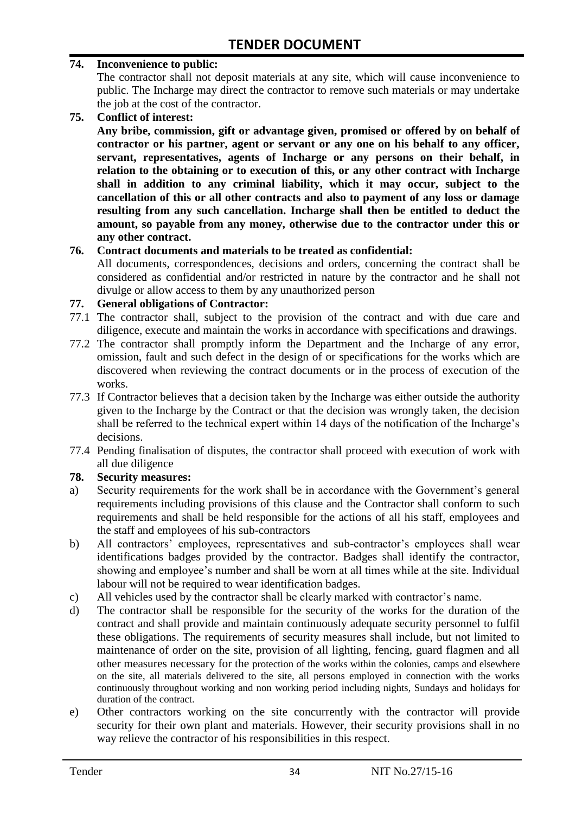#### **74. Inconvenience to public:**

The contractor shall not deposit materials at any site, which will cause inconvenience to public. The Incharge may direct the contractor to remove such materials or may undertake the job at the cost of the contractor.

**75. Conflict of interest:**

**Any bribe, commission, gift or advantage given, promised or offered by on behalf of contractor or his partner, agent or servant or any one on his behalf to any officer, servant, representatives, agents of Incharge or any persons on their behalf, in relation to the obtaining or to execution of this, or any other contract with Incharge shall in addition to any criminal liability, which it may occur, subject to the cancellation of this or all other contracts and also to payment of any loss or damage resulting from any such cancellation. Incharge shall then be entitled to deduct the amount, so payable from any money, otherwise due to the contractor under this or any other contract.**

#### **76. Contract documents and materials to be treated as confidential:**

All documents, correspondences, decisions and orders, concerning the contract shall be considered as confidential and/or restricted in nature by the contractor and he shall not divulge or allow access to them by any unauthorized person

#### **77. General obligations of Contractor:**

- 77.1 The contractor shall, subject to the provision of the contract and with due care and diligence, execute and maintain the works in accordance with specifications and drawings.
- 77.2 The contractor shall promptly inform the Department and the Incharge of any error, omission, fault and such defect in the design of or specifications for the works which are discovered when reviewing the contract documents or in the process of execution of the works.
- 77.3 If Contractor believes that a decision taken by the Incharge was either outside the authority given to the Incharge by the Contract or that the decision was wrongly taken, the decision shall be referred to the technical expert within 14 days of the notification of the Incharge's decisions.
- 77.4 Pending finalisation of disputes, the contractor shall proceed with execution of work with all due diligence

#### **78. Security measures:**

- a) Security requirements for the work shall be in accordance with the Government's general requirements including provisions of this clause and the Contractor shall conform to such requirements and shall be held responsible for the actions of all his staff, employees and the staff and employees of his sub-contractors
- b) All contractors' employees, representatives and sub-contractor's employees shall wear identifications badges provided by the contractor. Badges shall identify the contractor, showing and employee's number and shall be worn at all times while at the site. Individual labour will not be required to wear identification badges.
- c) All vehicles used by the contractor shall be clearly marked with contractor"s name.
- d) The contractor shall be responsible for the security of the works for the duration of the contract and shall provide and maintain continuously adequate security personnel to fulfil these obligations. The requirements of security measures shall include, but not limited to maintenance of order on the site, provision of all lighting, fencing, guard flagmen and all other measures necessary for the protection of the works within the colonies, camps and elsewhere on the site, all materials delivered to the site, all persons employed in connection with the works continuously throughout working and non working period including nights, Sundays and holidays for duration of the contract.
- e) Other contractors working on the site concurrently with the contractor will provide security for their own plant and materials. However, their security provisions shall in no way relieve the contractor of his responsibilities in this respect.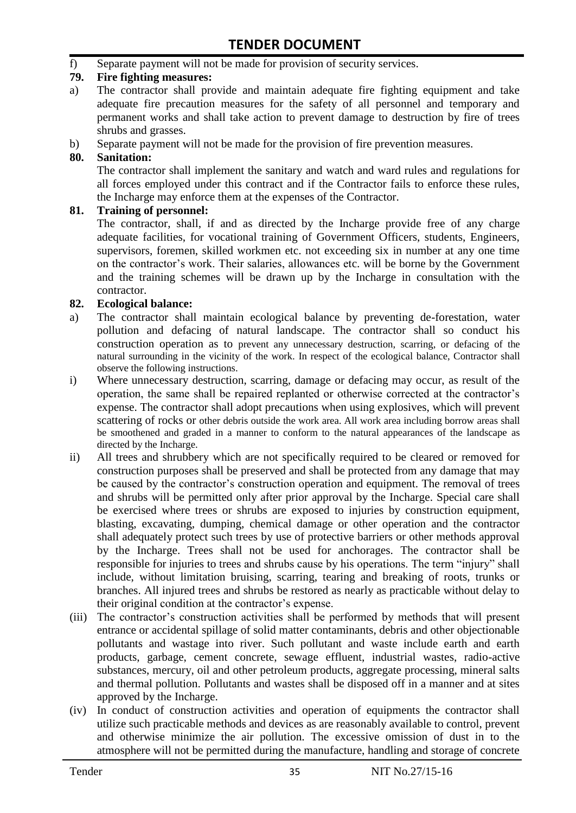f) Separate payment will not be made for provision of security services.

#### **79. Fire fighting measures:**

- a) The contractor shall provide and maintain adequate fire fighting equipment and take adequate fire precaution measures for the safety of all personnel and temporary and permanent works and shall take action to prevent damage to destruction by fire of trees shrubs and grasses.
- b) Separate payment will not be made for the provision of fire prevention measures.

#### **80. Sanitation:**

The contractor shall implement the sanitary and watch and ward rules and regulations for all forces employed under this contract and if the Contractor fails to enforce these rules, the Incharge may enforce them at the expenses of the Contractor.

#### **81. Training of personnel:**

The contractor, shall, if and as directed by the Incharge provide free of any charge adequate facilities, for vocational training of Government Officers, students, Engineers, supervisors, foremen, skilled workmen etc. not exceeding six in number at any one time on the contractor"s work. Their salaries, allowances etc. will be borne by the Government and the training schemes will be drawn up by the Incharge in consultation with the contractor.

#### **82. Ecological balance:**

- a) The contractor shall maintain ecological balance by preventing de-forestation, water pollution and defacing of natural landscape. The contractor shall so conduct his construction operation as to prevent any unnecessary destruction, scarring, or defacing of the natural surrounding in the vicinity of the work. In respect of the ecological balance, Contractor shall observe the following instructions.
- i) Where unnecessary destruction, scarring, damage or defacing may occur, as result of the operation, the same shall be repaired replanted or otherwise corrected at the contractor"s expense. The contractor shall adopt precautions when using explosives, which will prevent scattering of rocks or other debris outside the work area. All work area including borrow areas shall be smoothened and graded in a manner to conform to the natural appearances of the landscape as directed by the Incharge.
- ii) All trees and shrubbery which are not specifically required to be cleared or removed for construction purposes shall be preserved and shall be protected from any damage that may be caused by the contractor's construction operation and equipment. The removal of trees and shrubs will be permitted only after prior approval by the Incharge. Special care shall be exercised where trees or shrubs are exposed to injuries by construction equipment, blasting, excavating, dumping, chemical damage or other operation and the contractor shall adequately protect such trees by use of protective barriers or other methods approval by the Incharge. Trees shall not be used for anchorages. The contractor shall be responsible for injuries to trees and shrubs cause by his operations. The term "injury" shall include, without limitation bruising, scarring, tearing and breaking of roots, trunks or branches. All injured trees and shrubs be restored as nearly as practicable without delay to their original condition at the contractor"s expense.
- (iii) The contractor's construction activities shall be performed by methods that will present entrance or accidental spillage of solid matter contaminants, debris and other objectionable pollutants and wastage into river. Such pollutant and waste include earth and earth products, garbage, cement concrete, sewage effluent, industrial wastes, radio-active substances, mercury, oil and other petroleum products, aggregate processing, mineral salts and thermal pollution. Pollutants and wastes shall be disposed off in a manner and at sites approved by the Incharge.
- (iv) In conduct of construction activities and operation of equipments the contractor shall utilize such practicable methods and devices as are reasonably available to control, prevent and otherwise minimize the air pollution. The excessive omission of dust in to the atmosphere will not be permitted during the manufacture, handling and storage of concrete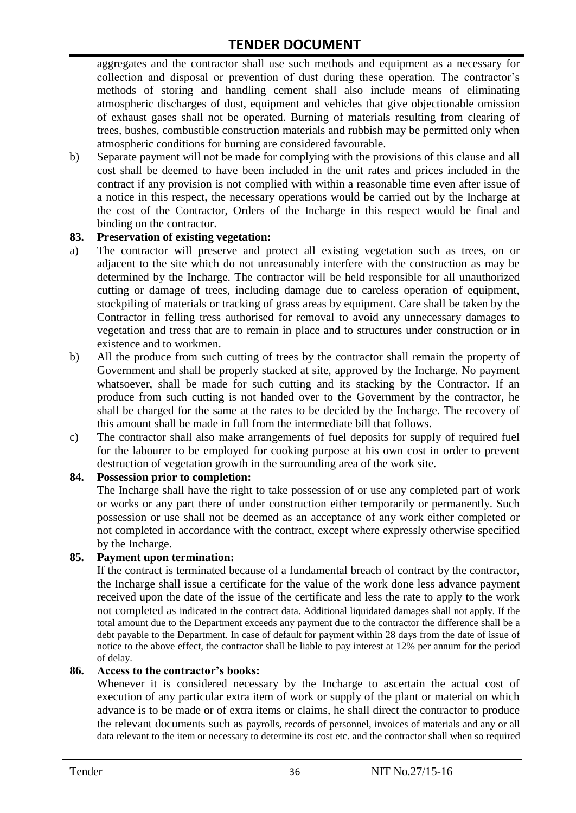aggregates and the contractor shall use such methods and equipment as a necessary for collection and disposal or prevention of dust during these operation. The contractor's methods of storing and handling cement shall also include means of eliminating atmospheric discharges of dust, equipment and vehicles that give objectionable omission of exhaust gases shall not be operated. Burning of materials resulting from clearing of trees, bushes, combustible construction materials and rubbish may be permitted only when atmospheric conditions for burning are considered favourable.

b) Separate payment will not be made for complying with the provisions of this clause and all cost shall be deemed to have been included in the unit rates and prices included in the contract if any provision is not complied with within a reasonable time even after issue of a notice in this respect, the necessary operations would be carried out by the Incharge at the cost of the Contractor, Orders of the Incharge in this respect would be final and binding on the contractor.

#### **83. Preservation of existing vegetation:**

- a) The contractor will preserve and protect all existing vegetation such as trees, on or adjacent to the site which do not unreasonably interfere with the construction as may be determined by the Incharge. The contractor will be held responsible for all unauthorized cutting or damage of trees, including damage due to careless operation of equipment, stockpiling of materials or tracking of grass areas by equipment. Care shall be taken by the Contractor in felling tress authorised for removal to avoid any unnecessary damages to vegetation and tress that are to remain in place and to structures under construction or in existence and to workmen.
- b) All the produce from such cutting of trees by the contractor shall remain the property of Government and shall be properly stacked at site, approved by the Incharge. No payment whatsoever, shall be made for such cutting and its stacking by the Contractor. If an produce from such cutting is not handed over to the Government by the contractor, he shall be charged for the same at the rates to be decided by the Incharge. The recovery of this amount shall be made in full from the intermediate bill that follows.
- c) The contractor shall also make arrangements of fuel deposits for supply of required fuel for the labourer to be employed for cooking purpose at his own cost in order to prevent destruction of vegetation growth in the surrounding area of the work site.

#### **84. Possession prior to completion:**

The Incharge shall have the right to take possession of or use any completed part of work or works or any part there of under construction either temporarily or permanently. Such possession or use shall not be deemed as an acceptance of any work either completed or not completed in accordance with the contract, except where expressly otherwise specified by the Incharge.

#### **85. Payment upon termination:**

If the contract is terminated because of a fundamental breach of contract by the contractor, the Incharge shall issue a certificate for the value of the work done less advance payment received upon the date of the issue of the certificate and less the rate to apply to the work not completed as indicated in the contract data. Additional liquidated damages shall not apply. If the total amount due to the Department exceeds any payment due to the contractor the difference shall be a debt payable to the Department. In case of default for payment within 28 days from the date of issue of notice to the above effect, the contractor shall be liable to pay interest at 12% per annum for the period of delay.

#### **86. Access to the contractor's books:**

Whenever it is considered necessary by the Incharge to ascertain the actual cost of execution of any particular extra item of work or supply of the plant or material on which advance is to be made or of extra items or claims, he shall direct the contractor to produce the relevant documents such as payrolls, records of personnel, invoices of materials and any or all data relevant to the item or necessary to determine its cost etc. and the contractor shall when so required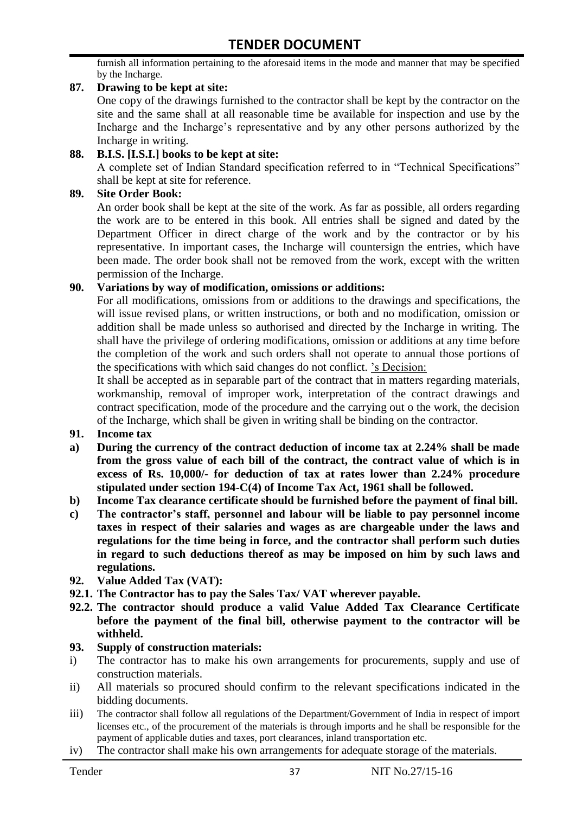furnish all information pertaining to the aforesaid items in the mode and manner that may be specified by the Incharge.

#### **87. Drawing to be kept at site:**

One copy of the drawings furnished to the contractor shall be kept by the contractor on the site and the same shall at all reasonable time be available for inspection and use by the Incharge and the Incharge"s representative and by any other persons authorized by the Incharge in writing.

#### **88. B.I.S. [I.S.I.] books to be kept at site:**

A complete set of Indian Standard specification referred to in "Technical Specifications" shall be kept at site for reference.

#### **89. Site Order Book:**

An order book shall be kept at the site of the work. As far as possible, all orders regarding the work are to be entered in this book. All entries shall be signed and dated by the Department Officer in direct charge of the work and by the contractor or by his representative. In important cases, the Incharge will countersign the entries, which have been made. The order book shall not be removed from the work, except with the written permission of the Incharge.

#### **90. Variations by way of modification, omissions or additions:**

For all modifications, omissions from or additions to the drawings and specifications, the will issue revised plans, or written instructions, or both and no modification, omission or addition shall be made unless so authorised and directed by the Incharge in writing. The shall have the privilege of ordering modifications, omission or additions at any time before the completion of the work and such orders shall not operate to annual those portions of the specifications with which said changes do not conflict. "s Decision:

It shall be accepted as in separable part of the contract that in matters regarding materials, workmanship, removal of improper work, interpretation of the contract drawings and contract specification, mode of the procedure and the carrying out o the work, the decision of the Incharge, which shall be given in writing shall be binding on the contractor.

- **91. Income tax**
- **a) During the currency of the contract deduction of income tax at 2.24% shall be made from the gross value of each bill of the contract, the contract value of which is in excess of Rs. 10,000/- for deduction of tax at rates lower than 2.24% procedure stipulated under section 194-C(4) of Income Tax Act, 1961 shall be followed.**
- **b) Income Tax clearance certificate should be furnished before the payment of final bill.**
- **c) The contractor's staff, personnel and labour will be liable to pay personnel income taxes in respect of their salaries and wages as are chargeable under the laws and regulations for the time being in force, and the contractor shall perform such duties in regard to such deductions thereof as may be imposed on him by such laws and regulations.**
- **92. Value Added Tax (VAT):**
- **92.1. The Contractor has to pay the Sales Tax/ VAT wherever payable.**
- **92.2. The contractor should produce a valid Value Added Tax Clearance Certificate before the payment of the final bill, otherwise payment to the contractor will be withheld.**

#### **93. Supply of construction materials:**

- i) The contractor has to make his own arrangements for procurements, supply and use of construction materials.
- ii) All materials so procured should confirm to the relevant specifications indicated in the bidding documents.
- iii) The contractor shall follow all regulations of the Department/Government of India in respect of import licenses etc., of the procurement of the materials is through imports and he shall be responsible for the payment of applicable duties and taxes, port clearances, inland transportation etc.
- iv) The contractor shall make his own arrangements for adequate storage of the materials.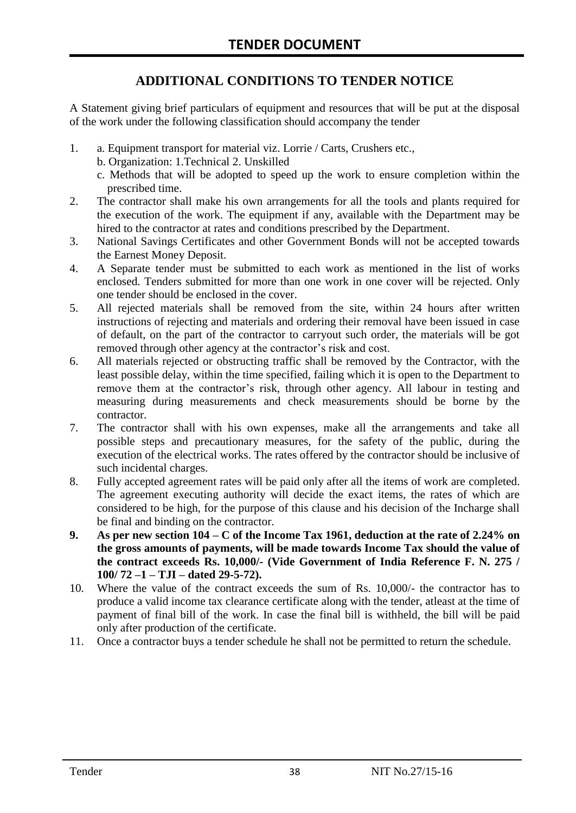## **ADDITIONAL CONDITIONS TO TENDER NOTICE**

A Statement giving brief particulars of equipment and resources that will be put at the disposal of the work under the following classification should accompany the tender

- 1. a. Equipment transport for material viz. Lorrie / Carts, Crushers etc.,
	- b. Organization: 1.Technical 2. Unskilled
	- c. Methods that will be adopted to speed up the work to ensure completion within the prescribed time.
- 2. The contractor shall make his own arrangements for all the tools and plants required for the execution of the work. The equipment if any, available with the Department may be hired to the contractor at rates and conditions prescribed by the Department.
- 3. National Savings Certificates and other Government Bonds will not be accepted towards the Earnest Money Deposit.
- 4. A Separate tender must be submitted to each work as mentioned in the list of works enclosed. Tenders submitted for more than one work in one cover will be rejected. Only one tender should be enclosed in the cover.
- 5. All rejected materials shall be removed from the site, within 24 hours after written instructions of rejecting and materials and ordering their removal have been issued in case of default, on the part of the contractor to carryout such order, the materials will be got removed through other agency at the contractor's risk and cost.
- 6. All materials rejected or obstructing traffic shall be removed by the Contractor, with the least possible delay, within the time specified, failing which it is open to the Department to remove them at the contractor's risk, through other agency. All labour in testing and measuring during measurements and check measurements should be borne by the contractor.
- 7. The contractor shall with his own expenses, make all the arrangements and take all possible steps and precautionary measures, for the safety of the public, during the execution of the electrical works. The rates offered by the contractor should be inclusive of such incidental charges.
- 8. Fully accepted agreement rates will be paid only after all the items of work are completed. The agreement executing authority will decide the exact items, the rates of which are considered to be high, for the purpose of this clause and his decision of the Incharge shall be final and binding on the contractor.
- **9. As per new section 104 – C of the Income Tax 1961, deduction at the rate of 2.24% on the gross amounts of payments, will be made towards Income Tax should the value of the contract exceeds Rs. 10,000/- (Vide Government of India Reference F. N. 275 / 100/ 72 –1 – TJI – dated 29-5-72).**
- 10. Where the value of the contract exceeds the sum of Rs. 10,000/- the contractor has to produce a valid income tax clearance certificate along with the tender, atleast at the time of payment of final bill of the work. In case the final bill is withheld, the bill will be paid only after production of the certificate.
- 11. Once a contractor buys a tender schedule he shall not be permitted to return the schedule.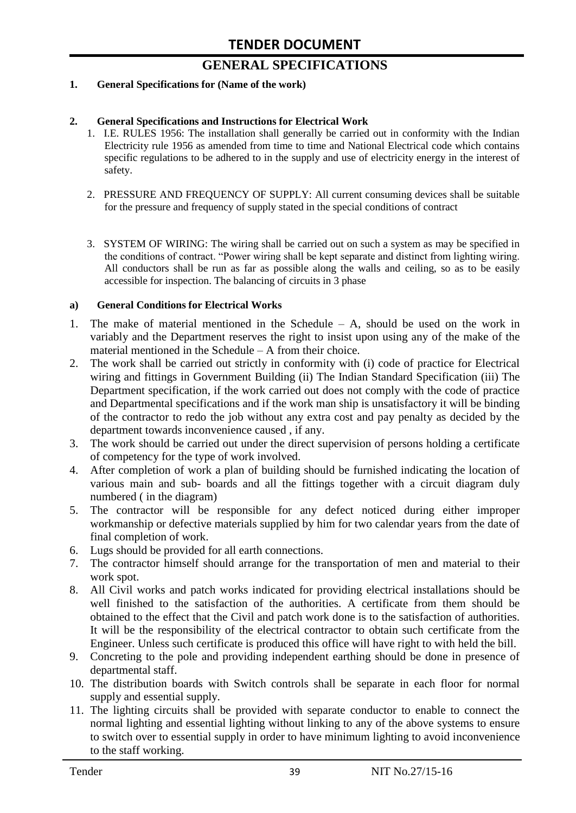# **GENERAL SPECIFICATIONS**

#### **1. General Specifications for (Name of the work)**

#### **2. General Specifications and Instructions for Electrical Work**

- 1. I.E. RULES 1956: The installation shall generally be carried out in conformity with the Indian Electricity rule 1956 as amended from time to time and National Electrical code which contains specific regulations to be adhered to in the supply and use of electricity energy in the interest of safety.
- 2. PRESSURE AND FREQUENCY OF SUPPLY: All current consuming devices shall be suitable for the pressure and frequency of supply stated in the special conditions of contract
- 3. SYSTEM OF WIRING: The wiring shall be carried out on such a system as may be specified in the conditions of contract. "Power wiring shall be kept separate and distinct from lighting wiring. All conductors shall be run as far as possible along the walls and ceiling, so as to be easily accessible for inspection. The balancing of circuits in 3 phase

#### **a) General Conditions for Electrical Works**

- 1. The make of material mentioned in the Schedule A, should be used on the work in variably and the Department reserves the right to insist upon using any of the make of the material mentioned in the Schedule – A from their choice.
- 2. The work shall be carried out strictly in conformity with (i) code of practice for Electrical wiring and fittings in Government Building (ii) The Indian Standard Specification (iii) The Department specification, if the work carried out does not comply with the code of practice and Departmental specifications and if the work man ship is unsatisfactory it will be binding of the contractor to redo the job without any extra cost and pay penalty as decided by the department towards inconvenience caused , if any.
- 3. The work should be carried out under the direct supervision of persons holding a certificate of competency for the type of work involved.
- 4. After completion of work a plan of building should be furnished indicating the location of various main and sub- boards and all the fittings together with a circuit diagram duly numbered ( in the diagram)
- 5. The contractor will be responsible for any defect noticed during either improper workmanship or defective materials supplied by him for two calendar years from the date of final completion of work.
- 6. Lugs should be provided for all earth connections.
- 7. The contractor himself should arrange for the transportation of men and material to their work spot.
- 8. All Civil works and patch works indicated for providing electrical installations should be well finished to the satisfaction of the authorities. A certificate from them should be obtained to the effect that the Civil and patch work done is to the satisfaction of authorities. It will be the responsibility of the electrical contractor to obtain such certificate from the Engineer. Unless such certificate is produced this office will have right to with held the bill.
- 9. Concreting to the pole and providing independent earthing should be done in presence of departmental staff.
- 10. The distribution boards with Switch controls shall be separate in each floor for normal supply and essential supply.
- 11. The lighting circuits shall be provided with separate conductor to enable to connect the normal lighting and essential lighting without linking to any of the above systems to ensure to switch over to essential supply in order to have minimum lighting to avoid inconvenience to the staff working.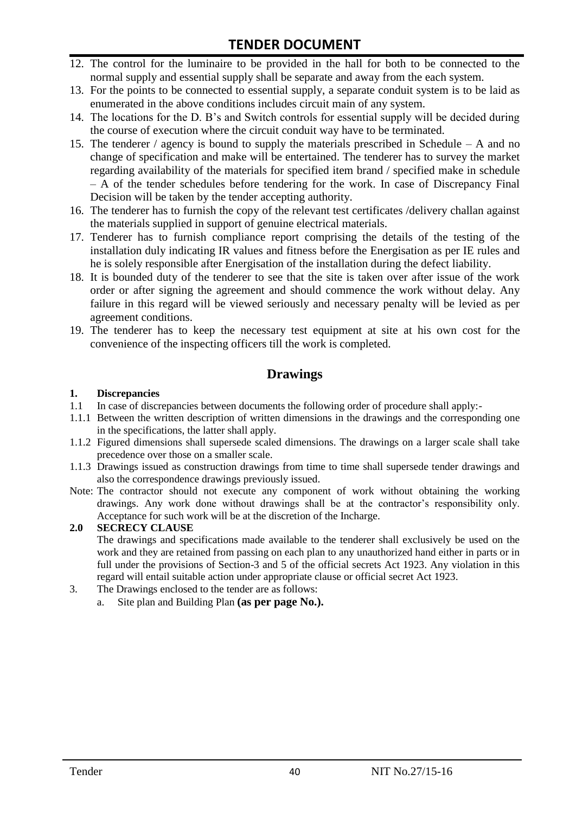- 12. The control for the luminaire to be provided in the hall for both to be connected to the normal supply and essential supply shall be separate and away from the each system.
- 13. For the points to be connected to essential supply, a separate conduit system is to be laid as enumerated in the above conditions includes circuit main of any system.
- 14. The locations for the D. B"s and Switch controls for essential supply will be decided during the course of execution where the circuit conduit way have to be terminated.
- 15. The tenderer / agency is bound to supply the materials prescribed in Schedule A and no change of specification and make will be entertained. The tenderer has to survey the market regarding availability of the materials for specified item brand / specified make in schedule – A of the tender schedules before tendering for the work. In case of Discrepancy Final Decision will be taken by the tender accepting authority.
- 16. The tenderer has to furnish the copy of the relevant test certificates /delivery challan against the materials supplied in support of genuine electrical materials.
- 17. Tenderer has to furnish compliance report comprising the details of the testing of the installation duly indicating IR values and fitness before the Energisation as per IE rules and he is solely responsible after Energisation of the installation during the defect liability.
- 18. It is bounded duty of the tenderer to see that the site is taken over after issue of the work order or after signing the agreement and should commence the work without delay. Any failure in this regard will be viewed seriously and necessary penalty will be levied as per agreement conditions.
- 19. The tenderer has to keep the necessary test equipment at site at his own cost for the convenience of the inspecting officers till the work is completed.

#### **Drawings**

#### **1. Discrepancies**

- 1.1 In case of discrepancies between documents the following order of procedure shall apply:-
- 1.1.1 Between the written description of written dimensions in the drawings and the corresponding one in the specifications, the latter shall apply.
- 1.1.2 Figured dimensions shall supersede scaled dimensions. The drawings on a larger scale shall take precedence over those on a smaller scale.
- 1.1.3 Drawings issued as construction drawings from time to time shall supersede tender drawings and also the correspondence drawings previously issued.
- Note: The contractor should not execute any component of work without obtaining the working drawings. Any work done without drawings shall be at the contractor"s responsibility only. Acceptance for such work will be at the discretion of the Incharge.

#### **2.0 SECRECY CLAUSE**

The drawings and specifications made available to the tenderer shall exclusively be used on the work and they are retained from passing on each plan to any unauthorized hand either in parts or in full under the provisions of Section-3 and 5 of the official secrets Act 1923. Any violation in this regard will entail suitable action under appropriate clause or official secret Act 1923.

- 3. The Drawings enclosed to the tender are as follows:
	- a. Site plan and Building Plan **(as per page No.).**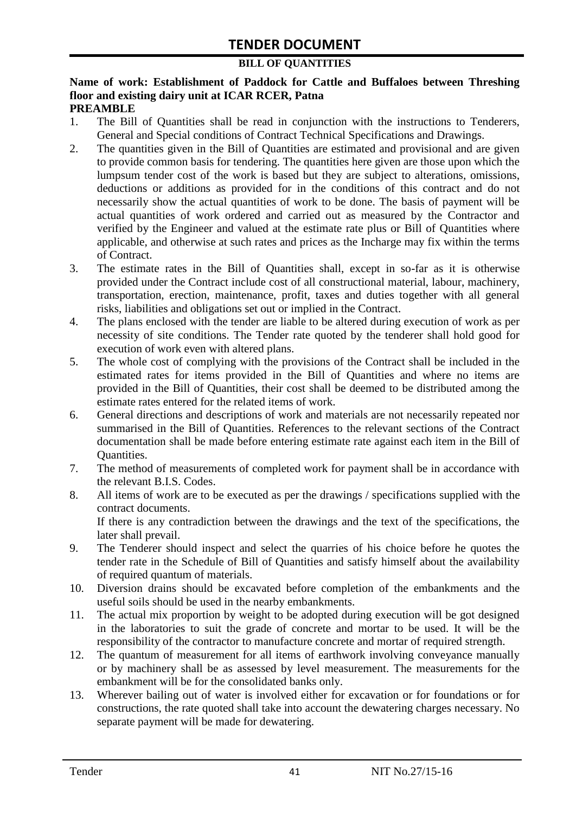#### **BILL OF QUANTITIES**

#### **Name of work: Establishment of Paddock for Cattle and Buffaloes between Threshing floor and existing dairy unit at ICAR RCER, Patna PREAMBLE**

- 1. The Bill of Quantities shall be read in conjunction with the instructions to Tenderers, General and Special conditions of Contract Technical Specifications and Drawings.
- 2. The quantities given in the Bill of Quantities are estimated and provisional and are given to provide common basis for tendering. The quantities here given are those upon which the lumpsum tender cost of the work is based but they are subject to alterations, omissions, deductions or additions as provided for in the conditions of this contract and do not necessarily show the actual quantities of work to be done. The basis of payment will be actual quantities of work ordered and carried out as measured by the Contractor and verified by the Engineer and valued at the estimate rate plus or Bill of Quantities where applicable, and otherwise at such rates and prices as the Incharge may fix within the terms of Contract.
- 3. The estimate rates in the Bill of Quantities shall, except in so-far as it is otherwise provided under the Contract include cost of all constructional material, labour, machinery, transportation, erection, maintenance, profit, taxes and duties together with all general risks, liabilities and obligations set out or implied in the Contract.
- 4. The plans enclosed with the tender are liable to be altered during execution of work as per necessity of site conditions. The Tender rate quoted by the tenderer shall hold good for execution of work even with altered plans.
- 5. The whole cost of complying with the provisions of the Contract shall be included in the estimated rates for items provided in the Bill of Quantities and where no items are provided in the Bill of Quantities, their cost shall be deemed to be distributed among the estimate rates entered for the related items of work.
- 6. General directions and descriptions of work and materials are not necessarily repeated nor summarised in the Bill of Quantities. References to the relevant sections of the Contract documentation shall be made before entering estimate rate against each item in the Bill of Quantities.
- 7. The method of measurements of completed work for payment shall be in accordance with the relevant B.I.S. Codes.
- 8. All items of work are to be executed as per the drawings / specifications supplied with the contract documents. If there is any contradiction between the drawings and the text of the specifications, the

later shall prevail.

- 9. The Tenderer should inspect and select the quarries of his choice before he quotes the tender rate in the Schedule of Bill of Quantities and satisfy himself about the availability of required quantum of materials.
- 10. Diversion drains should be excavated before completion of the embankments and the useful soils should be used in the nearby embankments.
- 11. The actual mix proportion by weight to be adopted during execution will be got designed in the laboratories to suit the grade of concrete and mortar to be used. It will be the responsibility of the contractor to manufacture concrete and mortar of required strength.
- 12. The quantum of measurement for all items of earthwork involving conveyance manually or by machinery shall be as assessed by level measurement. The measurements for the embankment will be for the consolidated banks only.
- 13. Wherever bailing out of water is involved either for excavation or for foundations or for constructions, the rate quoted shall take into account the dewatering charges necessary. No separate payment will be made for dewatering.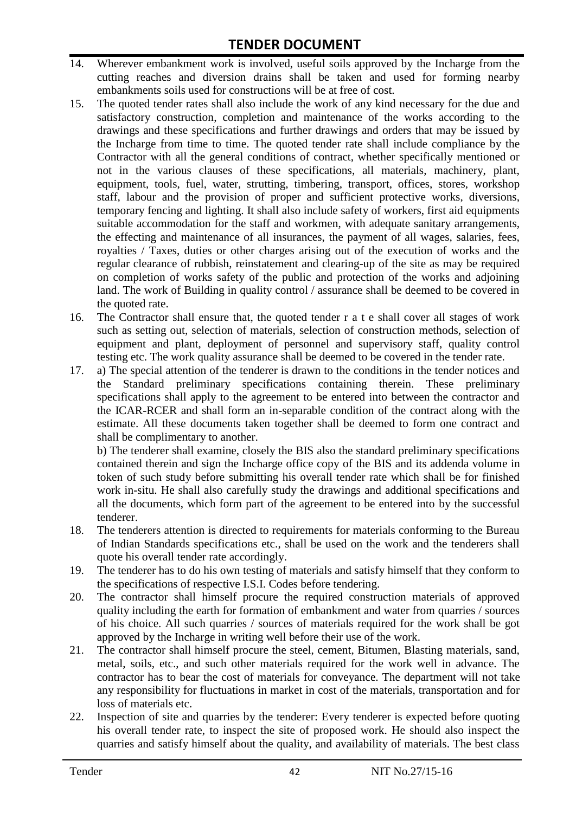- 14. Wherever embankment work is involved, useful soils approved by the Incharge from the cutting reaches and diversion drains shall be taken and used for forming nearby embankments soils used for constructions will be at free of cost.
- 15. The quoted tender rates shall also include the work of any kind necessary for the due and satisfactory construction, completion and maintenance of the works according to the drawings and these specifications and further drawings and orders that may be issued by the Incharge from time to time. The quoted tender rate shall include compliance by the Contractor with all the general conditions of contract, whether specifically mentioned or not in the various clauses of these specifications, all materials, machinery, plant, equipment, tools, fuel, water, strutting, timbering, transport, offices, stores, workshop staff, labour and the provision of proper and sufficient protective works, diversions, temporary fencing and lighting. It shall also include safety of workers, first aid equipments suitable accommodation for the staff and workmen, with adequate sanitary arrangements, the effecting and maintenance of all insurances, the payment of all wages, salaries, fees, royalties / Taxes, duties or other charges arising out of the execution of works and the regular clearance of rubbish, reinstatement and clearing-up of the site as may be required on completion of works safety of the public and protection of the works and adjoining land. The work of Building in quality control / assurance shall be deemed to be covered in the quoted rate.
- 16. The Contractor shall ensure that, the quoted tender r a t e shall cover all stages of work such as setting out, selection of materials, selection of construction methods, selection of equipment and plant, deployment of personnel and supervisory staff, quality control testing etc. The work quality assurance shall be deemed to be covered in the tender rate.
- 17. a) The special attention of the tenderer is drawn to the conditions in the tender notices and the Standard preliminary specifications containing therein. These preliminary specifications shall apply to the agreement to be entered into between the contractor and the ICAR-RCER and shall form an in-separable condition of the contract along with the estimate. All these documents taken together shall be deemed to form one contract and shall be complimentary to another.

b) The tenderer shall examine, closely the BIS also the standard preliminary specifications contained therein and sign the Incharge office copy of the BIS and its addenda volume in token of such study before submitting his overall tender rate which shall be for finished work in-situ. He shall also carefully study the drawings and additional specifications and all the documents, which form part of the agreement to be entered into by the successful tenderer.

- 18. The tenderers attention is directed to requirements for materials conforming to the Bureau of Indian Standards specifications etc., shall be used on the work and the tenderers shall quote his overall tender rate accordingly.
- 19. The tenderer has to do his own testing of materials and satisfy himself that they conform to the specifications of respective I.S.I. Codes before tendering.
- 20. The contractor shall himself procure the required construction materials of approved quality including the earth for formation of embankment and water from quarries / sources of his choice. All such quarries / sources of materials required for the work shall be got approved by the Incharge in writing well before their use of the work.
- 21. The contractor shall himself procure the steel, cement, Bitumen, Blasting materials, sand, metal, soils, etc., and such other materials required for the work well in advance. The contractor has to bear the cost of materials for conveyance. The department will not take any responsibility for fluctuations in market in cost of the materials, transportation and for loss of materials etc.
- 22. Inspection of site and quarries by the tenderer: Every tenderer is expected before quoting his overall tender rate, to inspect the site of proposed work. He should also inspect the quarries and satisfy himself about the quality, and availability of materials. The best class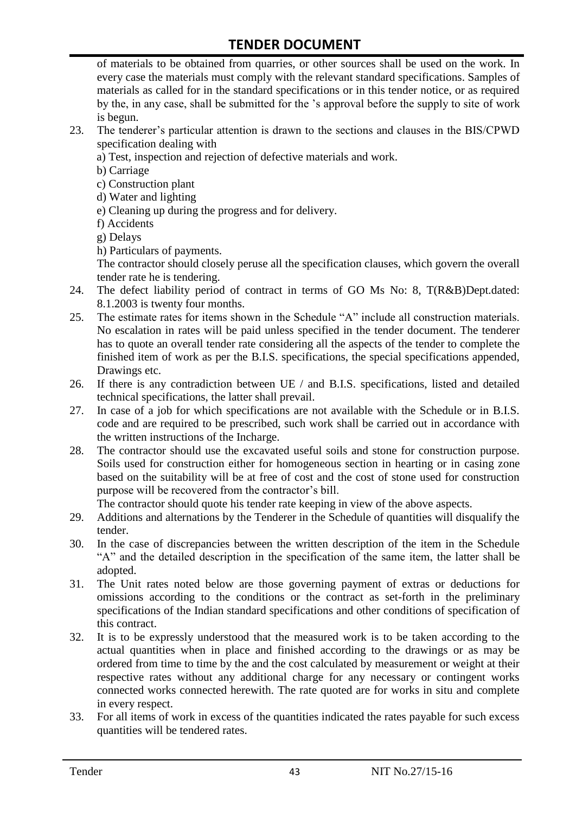of materials to be obtained from quarries, or other sources shall be used on the work. In every case the materials must comply with the relevant standard specifications. Samples of materials as called for in the standard specifications or in this tender notice, or as required by the, in any case, shall be submitted for the "s approval before the supply to site of work is begun.

- 23. The tenderer"s particular attention is drawn to the sections and clauses in the BIS/CPWD specification dealing with
	- a) Test, inspection and rejection of defective materials and work.
	- b) Carriage
	- c) Construction plant
	- d) Water and lighting
	- e) Cleaning up during the progress and for delivery.
	- f) Accidents
	- g) Delays
	- h) Particulars of payments.

The contractor should closely peruse all the specification clauses, which govern the overall tender rate he is tendering.

- 24. The defect liability period of contract in terms of GO Ms No: 8, T(R&B)Dept.dated: 8.1.2003 is twenty four months.
- 25. The estimate rates for items shown in the Schedule "A" include all construction materials. No escalation in rates will be paid unless specified in the tender document. The tenderer has to quote an overall tender rate considering all the aspects of the tender to complete the finished item of work as per the B.I.S. specifications, the special specifications appended, Drawings etc.
- 26. If there is any contradiction between UE / and B.I.S. specifications, listed and detailed technical specifications, the latter shall prevail.
- 27. In case of a job for which specifications are not available with the Schedule or in B.I.S. code and are required to be prescribed, such work shall be carried out in accordance with the written instructions of the Incharge.
- 28. The contractor should use the excavated useful soils and stone for construction purpose. Soils used for construction either for homogeneous section in hearting or in casing zone based on the suitability will be at free of cost and the cost of stone used for construction purpose will be recovered from the contractor's bill.

The contractor should quote his tender rate keeping in view of the above aspects.

- 29. Additions and alternations by the Tenderer in the Schedule of quantities will disqualify the tender.
- 30. In the case of discrepancies between the written description of the item in the Schedule "A" and the detailed description in the specification of the same item, the latter shall be adopted.
- 31. The Unit rates noted below are those governing payment of extras or deductions for omissions according to the conditions or the contract as set-forth in the preliminary specifications of the Indian standard specifications and other conditions of specification of this contract.
- 32. It is to be expressly understood that the measured work is to be taken according to the actual quantities when in place and finished according to the drawings or as may be ordered from time to time by the and the cost calculated by measurement or weight at their respective rates without any additional charge for any necessary or contingent works connected works connected herewith. The rate quoted are for works in situ and complete in every respect.
- 33. For all items of work in excess of the quantities indicated the rates payable for such excess quantities will be tendered rates.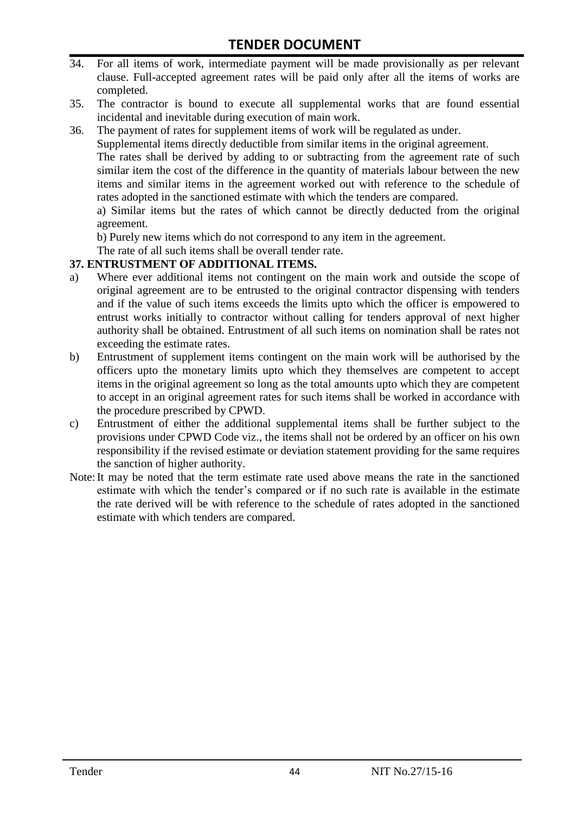- 34. For all items of work, intermediate payment will be made provisionally as per relevant clause. Full-accepted agreement rates will be paid only after all the items of works are completed.
- 35. The contractor is bound to execute all supplemental works that are found essential incidental and inevitable during execution of main work.
- 36. The payment of rates for supplement items of work will be regulated as under.

Supplemental items directly deductible from similar items in the original agreement.

The rates shall be derived by adding to or subtracting from the agreement rate of such similar item the cost of the difference in the quantity of materials labour between the new items and similar items in the agreement worked out with reference to the schedule of rates adopted in the sanctioned estimate with which the tenders are compared.

a) Similar items but the rates of which cannot be directly deducted from the original agreement.

b) Purely new items which do not correspond to any item in the agreement.

The rate of all such items shall be overall tender rate.

#### **37. ENTRUSTMENT OF ADDITIONAL ITEMS.**

- a) Where ever additional items not contingent on the main work and outside the scope of original agreement are to be entrusted to the original contractor dispensing with tenders and if the value of such items exceeds the limits upto which the officer is empowered to entrust works initially to contractor without calling for tenders approval of next higher authority shall be obtained. Entrustment of all such items on nomination shall be rates not exceeding the estimate rates.
- b) Entrustment of supplement items contingent on the main work will be authorised by the officers upto the monetary limits upto which they themselves are competent to accept items in the original agreement so long as the total amounts upto which they are competent to accept in an original agreement rates for such items shall be worked in accordance with the procedure prescribed by CPWD.
- c) Entrustment of either the additional supplemental items shall be further subject to the provisions under CPWD Code viz., the items shall not be ordered by an officer on his own responsibility if the revised estimate or deviation statement providing for the same requires the sanction of higher authority.
- Note:It may be noted that the term estimate rate used above means the rate in the sanctioned estimate with which the tender"s compared or if no such rate is available in the estimate the rate derived will be with reference to the schedule of rates adopted in the sanctioned estimate with which tenders are compared.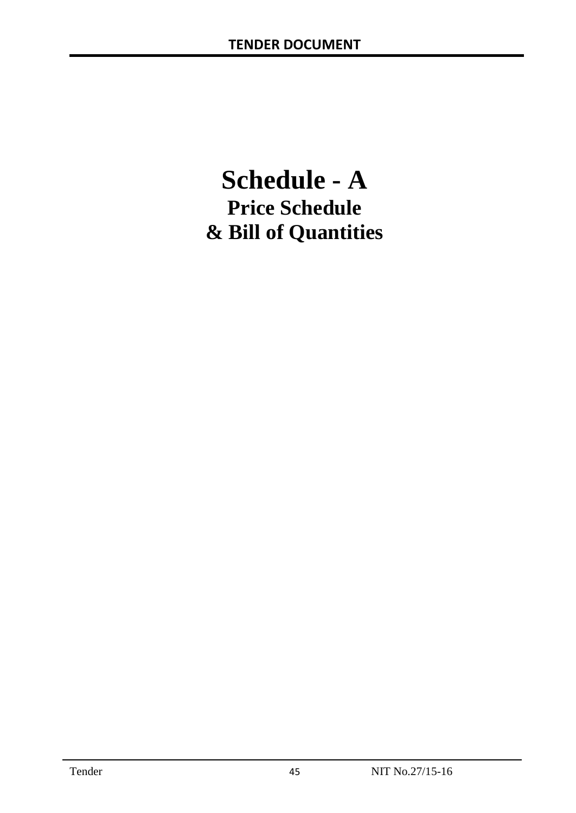# **Schedule - A Price Schedule & Bill of Quantities**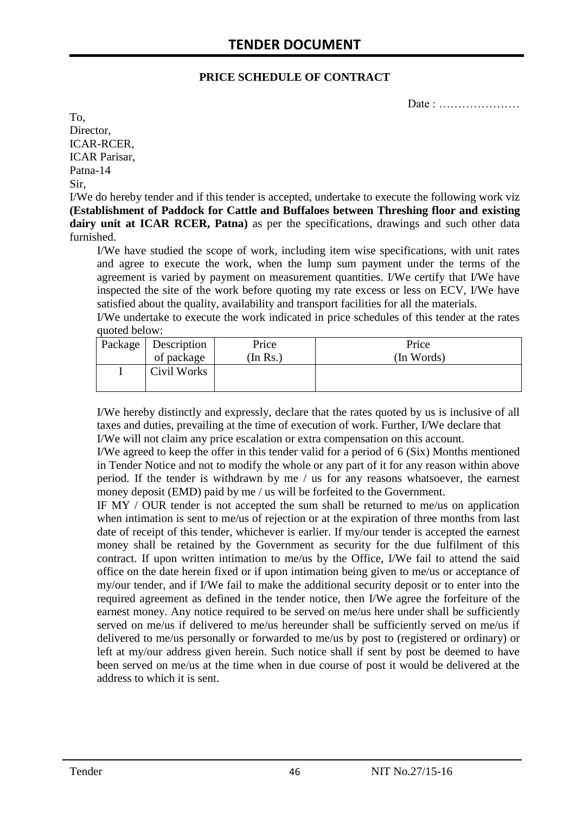#### **PRICE SCHEDULE OF CONTRACT**

Date : …………………

To, Director, ICAR-RCER, ICAR Parisar, Patna-14 Sir,

I/We do hereby tender and if this tender is accepted, undertake to execute the following work viz **(Establishment of Paddock for Cattle and Buffaloes between Threshing floor and existing dairy unit at ICAR RCER, Patna)** as per the specifications, drawings and such other data furnished.

I/We have studied the scope of work, including item wise specifications, with unit rates and agree to execute the work, when the lump sum payment under the terms of the agreement is varied by payment on measurement quantities. I/We certify that I/We have inspected the site of the work before quoting my rate excess or less on ECV, I/We have satisfied about the quality, availability and transport facilities for all the materials.

I/We undertake to execute the work indicated in price schedules of this tender at the rates quoted below:

| Package   Description | Price   | Price      |
|-----------------------|---------|------------|
| of package            | In Rs.) | (In Words) |
| Civil Works           |         |            |

I/We hereby distinctly and expressly, declare that the rates quoted by us is inclusive of all taxes and duties, prevailing at the time of execution of work. Further, I/We declare that I/We will not claim any price escalation or extra compensation on this account.

I/We agreed to keep the offer in this tender valid for a period of 6 (Six) Months mentioned in Tender Notice and not to modify the whole or any part of it for any reason within above period. If the tender is withdrawn by me / us for any reasons whatsoever, the earnest money deposit (EMD) paid by me / us will be forfeited to the Government.

IF MY / OUR tender is not accepted the sum shall be returned to me/us on application when intimation is sent to me/us of rejection or at the expiration of three months from last date of receipt of this tender, whichever is earlier. If my/our tender is accepted the earnest money shall be retained by the Government as security for the due fulfilment of this contract. If upon written intimation to me/us by the Office, I/We fail to attend the said office on the date herein fixed or if upon intimation being given to me/us or acceptance of my/our tender, and if I/We fail to make the additional security deposit or to enter into the required agreement as defined in the tender notice, then I/We agree the forfeiture of the earnest money. Any notice required to be served on me/us here under shall be sufficiently served on me/us if delivered to me/us hereunder shall be sufficiently served on me/us if delivered to me/us personally or forwarded to me/us by post to (registered or ordinary) or left at my/our address given herein. Such notice shall if sent by post be deemed to have been served on me/us at the time when in due course of post it would be delivered at the address to which it is sent.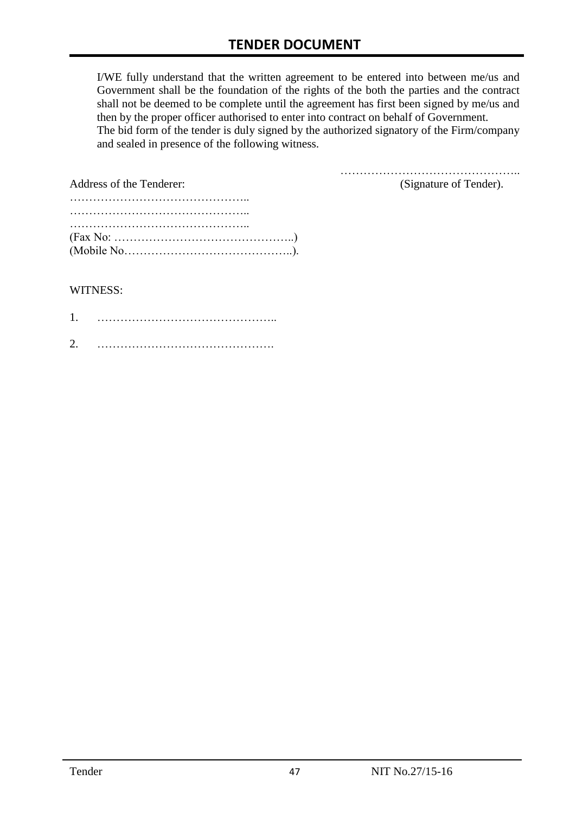I/WE fully understand that the written agreement to be entered into between me/us and Government shall be the foundation of the rights of the both the parties and the contract shall not be deemed to be complete until the agreement has first been signed by me/us and then by the proper officer authorised to enter into contract on behalf of Government. The bid form of the tender is duly signed by the authorized signatory of the Firm/company and sealed in presence of the following witness.

| Address of the Tenderer:                                                                  | (Signature of Tender). |
|-------------------------------------------------------------------------------------------|------------------------|
|                                                                                           |                        |
|                                                                                           |                        |
|                                                                                           |                        |
| $(Fax No: \dots \dots \dots \dots \dots \dots \dots \dots \dots \dots \dots \dots \dots)$ |                        |
|                                                                                           |                        |

#### WITNESS:

| ⌒ |  |
|---|--|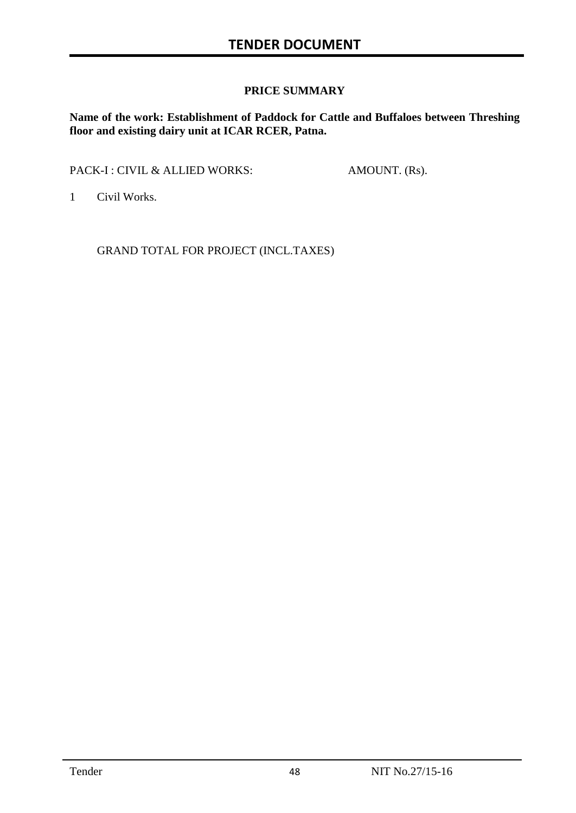#### **PRICE SUMMARY**

**Name of the work: Establishment of Paddock for Cattle and Buffaloes between Threshing floor and existing dairy unit at ICAR RCER, Patna.**

PACK-I : CIVIL & ALLIED WORKS: AMOUNT. (Rs).

1 Civil Works.

GRAND TOTAL FOR PROJECT (INCL.TAXES)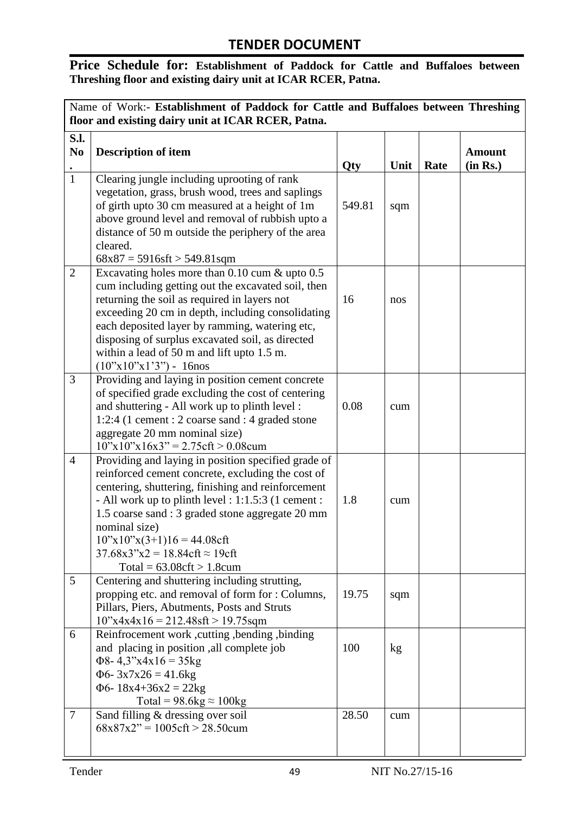### **Price Schedule for: Establishment of Paddock for Cattle and Buffaloes between Threshing floor and existing dairy unit at ICAR RCER, Patna.**

| Name of Work:- Establishment of Paddock for Cattle and Buffaloes between Threshing<br>floor and existing dairy unit at ICAR RCER, Patna. |                                                                                                                                                                                                                                                                                                                                                                                                                                            |        |      |      |                           |
|------------------------------------------------------------------------------------------------------------------------------------------|--------------------------------------------------------------------------------------------------------------------------------------------------------------------------------------------------------------------------------------------------------------------------------------------------------------------------------------------------------------------------------------------------------------------------------------------|--------|------|------|---------------------------|
| S.l.<br>N <sub>0</sub>                                                                                                                   | <b>Description of item</b>                                                                                                                                                                                                                                                                                                                                                                                                                 | Qty    | Unit | Rate | <b>Amount</b><br>(in Rs.) |
| $\overline{1}$                                                                                                                           | Clearing jungle including uprooting of rank<br>vegetation, grass, brush wood, trees and saplings<br>of girth upto 30 cm measured at a height of 1m<br>above ground level and removal of rubbish upto a<br>distance of 50 m outside the periphery of the area<br>cleared.<br>$68x87 = 5916sft > 549.81sqm$                                                                                                                                  | 549.81 | sqm  |      |                           |
| $\overline{2}$                                                                                                                           | Excavating holes more than $0.10$ cum $\&$ upto $0.5$<br>cum including getting out the excavated soil, then<br>returning the soil as required in layers not<br>exceeding 20 cm in depth, including consolidating<br>each deposited layer by ramming, watering etc,<br>disposing of surplus excavated soil, as directed<br>within a lead of 50 m and lift upto 1.5 m.<br>$(10^{\circ}\text{x}10^{\circ}\text{x}1^{\circ}3^{\circ})$ - 16nos | 16     | nos  |      |                           |
| 3                                                                                                                                        | Providing and laying in position cement concrete<br>of specified grade excluding the cost of centering<br>and shuttering - All work up to plinth level :<br>1:2:4 (1 cement : 2 coarse sand : 4 graded stone<br>aggregate 20 mm nominal size)<br>$10"x10"x16x3" = 2.75 \text{cf}t > 0.08 \text{cum}$                                                                                                                                       | 0.08   | cum  |      |                           |
| $\overline{4}$                                                                                                                           | Providing and laying in position specified grade of<br>reinforced cement concrete, excluding the cost of<br>centering, shuttering, finishing and reinforcement<br>- All work up to plinth level : 1:1.5:3 (1 cement :<br>1.5 coarse sand : 3 graded stone aggregate 20 mm<br>nominal size)<br>$10^{\circ}x10^{\circ}x(3+1)16 = 44.08$ cft<br>$37.68x3''x2 = 18.84cft \approx 19cft$<br>$Total = 63.08 \text{cf}t > 1.8 \text{cum}$         | 1.8    | cum  |      |                           |
| 5                                                                                                                                        | Centering and shuttering including strutting,<br>propping etc. and removal of form for : Columns,<br>Pillars, Piers, Abutments, Posts and Struts<br>$10^{\circ}x4x4x16 = 212.48$ sft > 19.75sqm                                                                                                                                                                                                                                            | 19.75  | sqm  |      |                           |
| 6                                                                                                                                        | Reinfrocement work, cutting, bending, binding<br>and placing in position , all complete job<br>$\Phi$ 8-4,3"x4x16 = 35kg<br>$\Phi$ 6- 3x7x26 = 41.6kg<br>$\Phi$ 6-18x4+36x2 = 22kg<br>Total = $98.6$ kg $\approx 100$ kg                                                                                                                                                                                                                   | 100    | kg   |      |                           |
| $\overline{7}$                                                                                                                           | Sand filling & dressing over soil<br>$68x87x2" = 1005cft > 28.50cum$                                                                                                                                                                                                                                                                                                                                                                       | 28.50  | cum  |      |                           |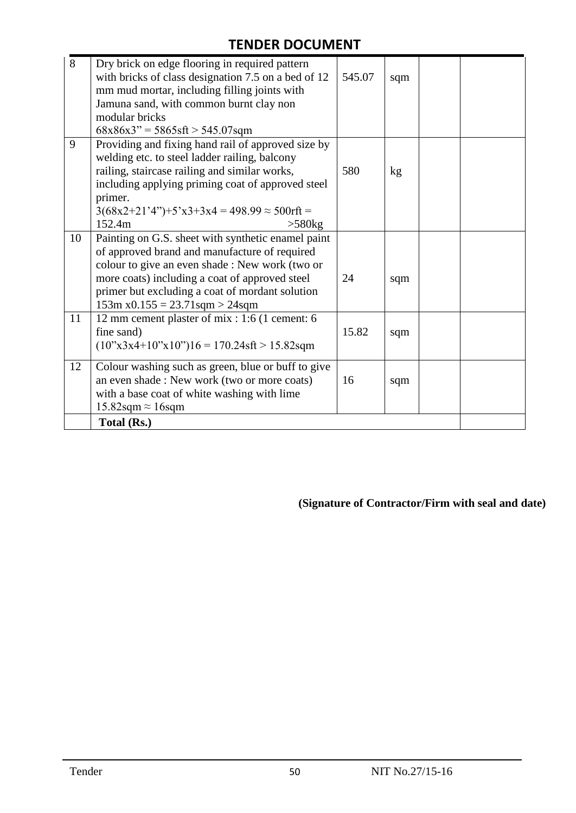| 8  | Dry brick on edge flooring in required pattern<br>with bricks of class designation 7.5 on a bed of 12<br>mm mud mortar, including filling joints with<br>Jamuna sand, with common burnt clay non<br>modular bricks                                                                                  | 545.07 | sqm |  |
|----|-----------------------------------------------------------------------------------------------------------------------------------------------------------------------------------------------------------------------------------------------------------------------------------------------------|--------|-----|--|
|    | $68x86x3'' = 5865sft > 545.07sqm$                                                                                                                                                                                                                                                                   |        |     |  |
| 9  | Providing and fixing hand rail of approved size by<br>welding etc. to steel ladder railing, balcony<br>railing, staircase railing and similar works,<br>including applying priming coat of approved steel<br>primer.<br>$3(68x2+21'4'')+5'x3+3x4 = 498.99 \approx 500$ rft =<br>152.4m<br>$>580$ kg | 580    | kg  |  |
| 10 | Painting on G.S. sheet with synthetic enamel paint<br>of approved brand and manufacture of required<br>colour to give an even shade : New work (two or<br>more coats) including a coat of approved steel<br>primer but excluding a coat of mordant solution<br>$153m x0.155 = 23.71$ sqm > 24sqm    | 24     | sqm |  |
| 11 | 12 mm cement plaster of mix : 1:6 (1 cement: 6<br>fine sand)<br>$(10^{\circ}x3x4+10^{\circ}x10^{\circ})16 = 170.24\text{sf} > 15.82\text{sqm}$                                                                                                                                                      | 15.82  | sqm |  |
| 12 | Colour washing such as green, blue or buff to give<br>an even shade: New work (two or more coats)<br>with a base coat of white washing with lime<br>$15.82$ sqm $\approx 16$ sqm                                                                                                                    | 16     | sqm |  |
|    | Total (Rs.)                                                                                                                                                                                                                                                                                         |        |     |  |

**(Signature of Contractor/Firm with seal and date)**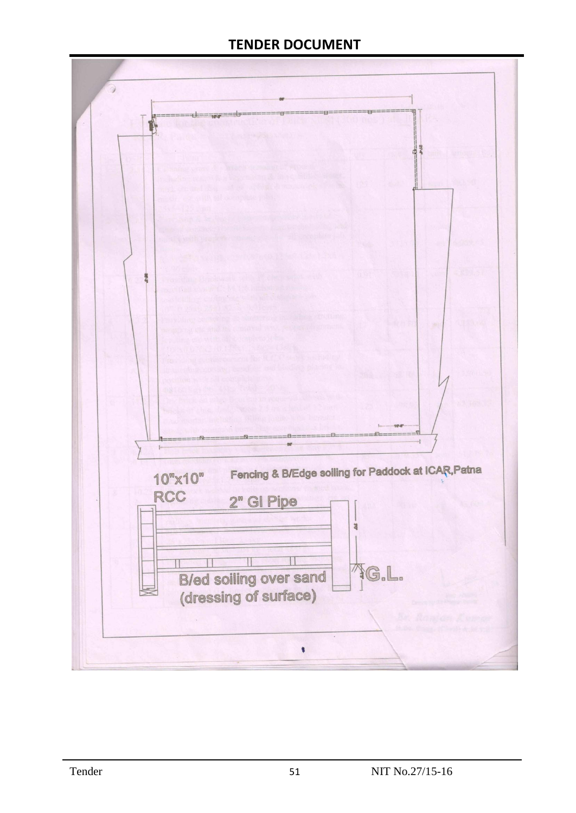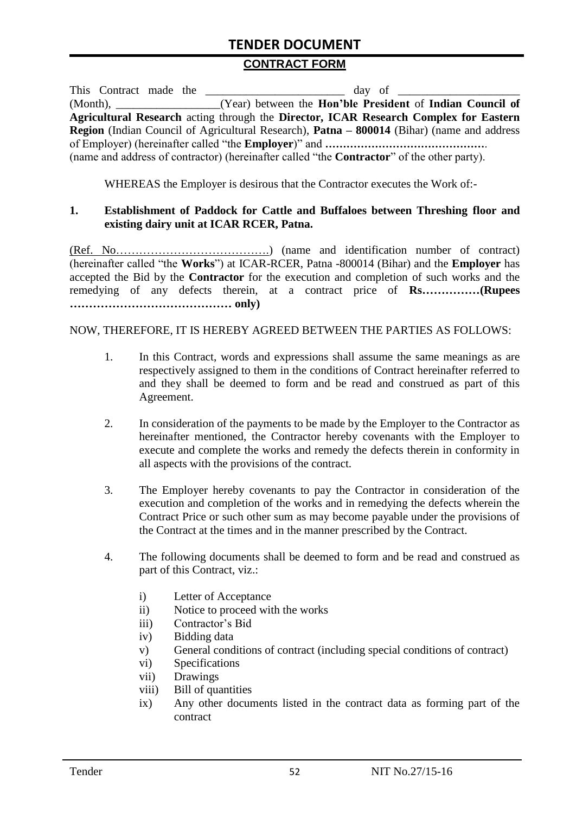#### **CONTRACT FORM**

| This Contract made the |                                                                                                          |
|------------------------|----------------------------------------------------------------------------------------------------------|
|                        | (Year) between the Hon'ble President of Indian Council of                                                |
|                        | Agricultural Research acting through the Director, ICAR Research Complex for Eastern                     |
|                        | <b>Region</b> (Indian Council of Agricultural Research), <b>Patna – 800014</b> (Bihar) (name and address |
|                        |                                                                                                          |
|                        | (name and address of contractor) (hereinafter called "the <b>Contractor</b> " of the other party).       |

WHEREAS the Employer is desirous that the Contractor executes the Work of:-

#### **1. Establishment of Paddock for Cattle and Buffaloes between Threshing floor and existing dairy unit at ICAR RCER, Patna.**

(Ref. No………………………………….) (name and identification number of contract) (hereinafter called "the **Works**") at ICAR-RCER, Patna -800014 (Bihar) and the **Employer** has accepted the Bid by the **Contractor** for the execution and completion of such works and the remedying of any defects therein, at a contract price of **Rs……………(Rupees …………………………………… only)**

#### NOW, THEREFORE, IT IS HEREBY AGREED BETWEEN THE PARTIES AS FOLLOWS:

- 1. In this Contract, words and expressions shall assume the same meanings as are respectively assigned to them in the conditions of Contract hereinafter referred to and they shall be deemed to form and be read and construed as part of this Agreement.
- 2. In consideration of the payments to be made by the Employer to the Contractor as hereinafter mentioned, the Contractor hereby covenants with the Employer to execute and complete the works and remedy the defects therein in conformity in all aspects with the provisions of the contract.
- 3. The Employer hereby covenants to pay the Contractor in consideration of the execution and completion of the works and in remedying the defects wherein the Contract Price or such other sum as may become payable under the provisions of the Contract at the times and in the manner prescribed by the Contract.
- 4. The following documents shall be deemed to form and be read and construed as part of this Contract, viz.:
	- i) Letter of Acceptance
	- ii) Notice to proceed with the works
	- iii) Contractor's Bid
	- iv) Bidding data
	- v) General conditions of contract (including special conditions of contract)
	- vi) Specifications
	- vii) Drawings
	- viii) Bill of quantities
	- ix) Any other documents listed in the contract data as forming part of the contract